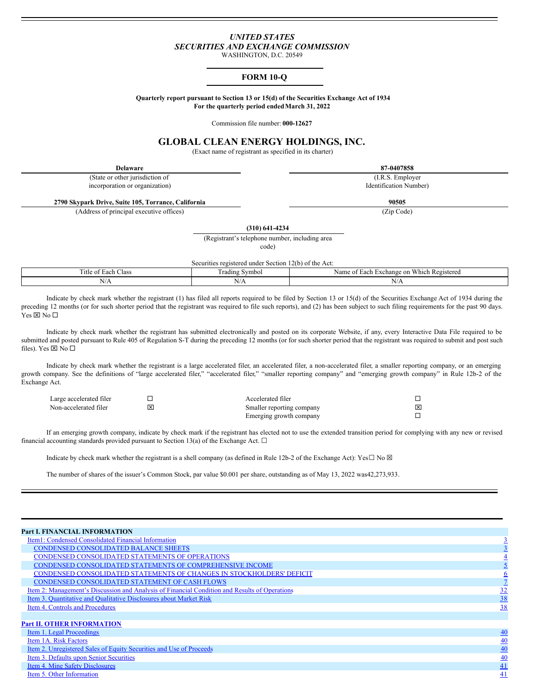# *UNITED STATES SECURITIES AND EXCHANGE COMMISSION*

WASHINGTON, D.C. 20549

# **FORM 10-Q**

**Quarterly report pursuant to Section 13 or 15(d) of the Securities Exchange Act of 1934 For the quarterly period endedMarch 31, 2022**

Commission file number: **000-12627**

# **GLOBAL CLEAN ENERGY HOLDINGS, INC.**

(Exact name of registrant as specified in its charter)

| <b>Delaware</b>                                     | 87-0407858             |
|-----------------------------------------------------|------------------------|
| (State or other jurisdiction of                     | (I.R.S. Employer)      |
| incorporation or organization)                      | Identification Number) |
| 2790 Skypark Drive, Suite 105, Torrance, California | 90505                  |
| (Address of principal executive offices)            | (Zip Code)             |

**(310) 641-4234**

(Registrant's telephone number, including area

code)

Securities registered under Section 12(b) of the Act:

| -<br>$\sim$<br>itle of<br>Class | $\overline{\phantom{a}}$<br>ı radıng<br>Symbol | T T T<br>Which<br>-Re:<br>enstered?<br>exchange<br>Name<br>$\sim$<br>Each<br>-01<br>UII VV |
|---------------------------------|------------------------------------------------|--------------------------------------------------------------------------------------------|
| $ -$<br>IN/A                    | .<br>. .<br>17 T.P                             | 1 V / T                                                                                    |

Indicate by check mark whether the registrant (1) has filed all reports required to be filed by Section 13 or 15(d) of the Securities Exchange Act of 1934 during the preceding 12 months (or for such shorter period that the registrant was required to file such reports), and (2) has been subject to such filing requirements for the past 90 days.  $Yes \boxtimes No \square$ 

Indicate by check mark whether the registrant has submitted electronically and posted on its corporate Website, if any, every Interactive Data File required to be submitted and posted pursuant to Rule 405 of Regulation S-T during the preceding 12 months (or for such shorter period that the registrant was required to submit and post such files). Yes  $\boxtimes$  No  $\square$ 

Indicate by check mark whether the registrant is a large accelerated filer, an accelerated filer, a non-accelerated filer, a smaller reporting company, or an emerging growth company. See the definitions of "large accelerated filer," "accelerated filer," "smaller reporting company" and "emerging growth company" in Rule 12b-2 of the Exchange Act.

| Large accelerated filer | Accelerated filer         |  |
|-------------------------|---------------------------|--|
| Non-accelerated filer   | Smaller reporting company |  |
|                         | Emerging growth company   |  |

If an emerging growth company, indicate by check mark if the registrant has elected not to use the extended transition period for complying with any new or revised financial accounting standards provided pursuant to Section 13(a) of the Exchange Act.  $\Box$ 

Indicate by check mark whether the registrant is a shell company (as defined in Rule 12b-2 of the Exchange Act): Yes $\Box$  No  $\boxtimes$ 

The number of shares of the issuer's Common Stock, par value \$0.001 per share, outstanding as of May 13, 2022 was42,273,933.

| <b>Part I. FINANCIAL INFORMATION</b>                                                                 |                 |
|------------------------------------------------------------------------------------------------------|-----------------|
| Item1: Condensed Consolidated Financial Information                                                  |                 |
| <b>CONDENSED CONSOLIDATED BALANCE SHEETS</b>                                                         |                 |
| CONDENSED CONSOLIDATED STATEMENTS OF OPERATIONS                                                      |                 |
| <b>CONDENSED CONSOLIDATED STATEMENTS OF COMPREHENSIVE INCOME</b>                                     |                 |
| CONDENSED CONSOLIDATED STATEMENTS OF CHANGES IN STOCKHOLDERS' DEFICIT                                |                 |
| CONDENSED CONSOLIDATED STATEMENT OF CASH FLOWS                                                       |                 |
| <u>Item 2: Management's Discussion and Analysis of Financial Condition and Results of Operations</u> | 32              |
| Item 3. Quantitative and Qualitative Disclosures about Market Risk                                   | 38              |
| Item 4. Controls and Procedures                                                                      | 38              |
|                                                                                                      |                 |
| <b>Part II. OTHER INFORMATION</b>                                                                    |                 |
| Item 1. Legal Proceedings                                                                            | $\overline{40}$ |
| Item 1A. Risk Factors                                                                                | $\overline{40}$ |
| Item 2. Unregistered Sales of Equity Securities and Use of Proceeds                                  | 40              |
| Item 3. Defaults upon Senior Securities                                                              | 40              |
| Item 4. Mine Safety Disclosures                                                                      | 41              |
| Item 5. Other Information                                                                            | 41              |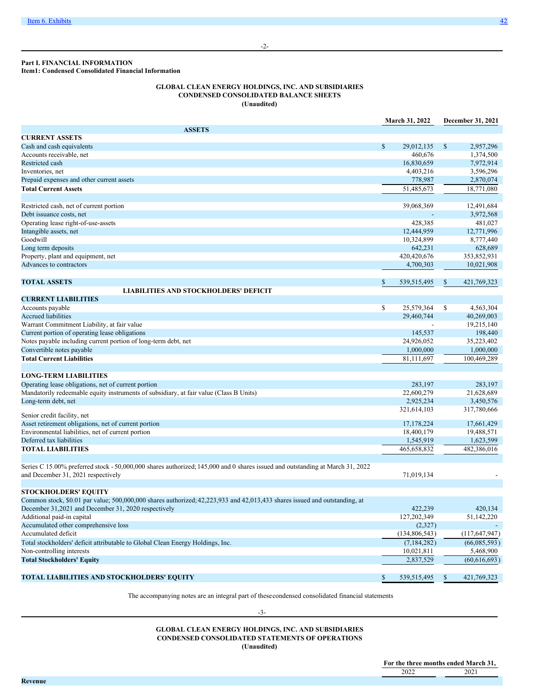<span id="page-1-0"></span>**Item1: Condensed Consolidated Financial Information**

# <span id="page-1-1"></span>**GLOBAL CLEAN ENERGY HOLDINGS, INC. AND SUBSIDIARIES CONDENSED CONSOLIDATED BALANCE SHEETS (Unaudited)**

|                                                                                                                               |              | <b>March 31, 2022</b> |               | December 31, 2021 |
|-------------------------------------------------------------------------------------------------------------------------------|--------------|-----------------------|---------------|-------------------|
| <b>ASSETS</b>                                                                                                                 |              |                       |               |                   |
| <b>CURRENT ASSETS</b>                                                                                                         |              |                       |               |                   |
| Cash and cash equivalents                                                                                                     | $\mathbb{S}$ | 29,012,135            | $\mathbb{S}$  | 2,957,296         |
| Accounts receivable, net                                                                                                      |              | 460,676               |               | 1,374,500         |
| Restricted cash                                                                                                               |              | 16,830,659            |               | 7,972,914         |
| Inventories, net                                                                                                              |              | 4,403,216             |               | 3,596,296         |
| Prepaid expenses and other current assets                                                                                     |              | 778,987               |               | 2,870,074         |
| <b>Total Current Assets</b>                                                                                                   |              | 51,485,673            |               | 18,771,080        |
|                                                                                                                               |              |                       |               |                   |
| Restricted cash, net of current portion                                                                                       |              | 39,068,369            |               | 12,491,684        |
| Debt issuance costs, net                                                                                                      |              |                       |               | 3,972,568         |
| Operating lease right-of-use-assets                                                                                           |              | 428,385               |               | 481,027           |
| Intangible assets, net                                                                                                        |              | 12,444,959            |               | 12,771,996        |
| Goodwill                                                                                                                      |              | 10,324,899            |               | 8,777,440         |
| Long term deposits                                                                                                            |              | 642,231               |               | 628,689           |
| Property, plant and equipment, net                                                                                            |              | 420,420,676           |               | 353,852,931       |
| Advances to contractors                                                                                                       |              | 4,700,303             |               | 10,021,908        |
|                                                                                                                               |              |                       |               |                   |
| <b>TOTAL ASSETS</b>                                                                                                           | \$           | 539,515,495           | \$            | 421,769,323       |
| <b>LIABILITIES AND STOCKHOLDERS' DEFICIT</b>                                                                                  |              |                       |               |                   |
| <b>CURRENT LIABILITIES</b>                                                                                                    |              |                       |               |                   |
| Accounts payable                                                                                                              | \$           | 25,579,364            | <sup>\$</sup> | 4,563,304         |
| <b>Accrued liabilities</b>                                                                                                    |              | 29,460,744            |               | 40,269,003        |
| Warrant Commitment Liability, at fair value                                                                                   |              |                       |               | 19,215,140        |
| Current portion of operating lease obligations                                                                                |              | 145,537               |               | 198,440           |
| Notes payable including current portion of long-term debt, net                                                                |              | 24,926,052            |               | 35,223,402        |
| Convertible notes payable                                                                                                     |              | 1,000,000             |               | 1,000,000         |
| <b>Total Current Liabilities</b>                                                                                              |              | 81,111,697            |               | 100,469,289       |
|                                                                                                                               |              |                       |               |                   |
| <b>LONG-TERM LIABILITIES</b>                                                                                                  |              |                       |               |                   |
| Operating lease obligations, net of current portion                                                                           |              | 283,197               |               | 283,197           |
| Mandatorily redeemable equity instruments of subsidiary, at fair value (Class B Units)                                        |              | 22,600,279            |               | 21,628,689        |
| Long-term debt, net                                                                                                           |              | 2,925,234             |               | 3,450,576         |
|                                                                                                                               |              | 321,614,103           |               | 317,780,666       |
| Senior credit facility, net                                                                                                   |              |                       |               |                   |
| Asset retirement obligations, net of current portion                                                                          |              | 17,178,224            |               | 17,661,429        |
| Environmental liabilities, net of current portion                                                                             |              | 18,400,179            |               | 19,488,571        |
| Deferred tax liabilities                                                                                                      |              | 1,545,919             |               | 1,623,599         |
| TOTAL LIABILITIES                                                                                                             |              | 465,658,832           |               | 482,386,016       |
|                                                                                                                               |              |                       |               |                   |
| Series C 15.00% preferred stock - 50,000,000 shares authorized; 145,000 and 0 shares issued and outstanding at March 31, 2022 |              |                       |               |                   |
| and December 31, 2021 respectively                                                                                            |              | 71,019,134            |               |                   |
|                                                                                                                               |              |                       |               |                   |
| <b>STOCKHOLDERS' EQUITY</b>                                                                                                   |              |                       |               |                   |
| Common stock, \$0.01 par value; 500,000,000 shares authorized; 42,223,933 and 42,013,433 shares issued and outstanding, at    |              |                       |               |                   |
| December 31,2021 and December 31, 2020 respectively                                                                           |              | 422,239               |               | 420,134           |
| Additional paid-in capital                                                                                                    |              | 127,202,349           |               | 51,142,220        |
| Accumulated other comprehensive loss                                                                                          |              | (2,327)               |               |                   |
| Accumulated deficit                                                                                                           |              | (134, 806, 543)       |               | (117, 647, 947)   |
| Total stockholders' deficit attributable to Global Clean Energy Holdings, Inc.                                                |              | (7, 184, 282)         |               | (66,085,593)      |
| Non-controlling interests                                                                                                     |              | 10,021,811            |               | 5,468,900         |
| <b>Total Stockholders' Equity</b>                                                                                             |              | 2,837,529             |               | (60, 616, 693)    |
|                                                                                                                               |              |                       |               |                   |
| TOTAL LIABILITIES AND STOCKHOLDERS' EQUITY                                                                                    | \$           | 539, 515, 495         | \$            | 421,769,323       |
|                                                                                                                               |              |                       |               |                   |

The accompanying notes are an integral part of thesecondensed consolidated financial statements -3-

-2-

<span id="page-1-2"></span>**GLOBAL CLEAN ENERGY HOLDINGS, INC. AND SUBSIDIARIES CONDENSED CONSOLIDATED STATEMENTS OF OPERATIONS (Unaudited)**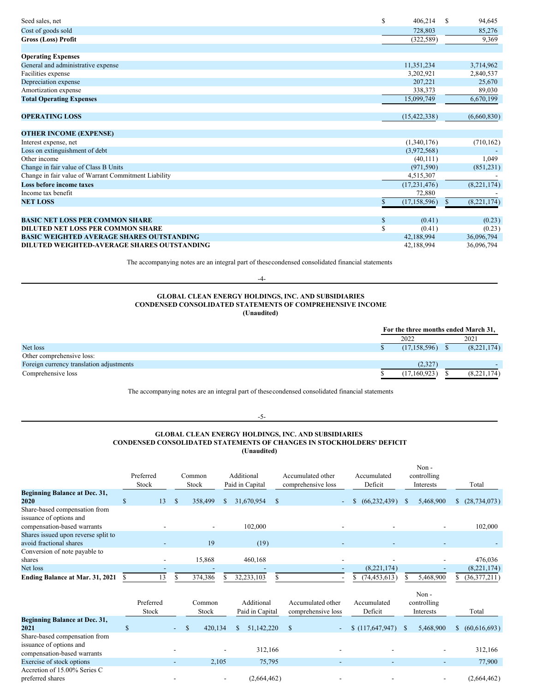| Seed sales, net                                      | \$<br>406.214        | S  | 94,645      |
|------------------------------------------------------|----------------------|----|-------------|
| Cost of goods sold                                   | 728,803              |    | 85,276      |
| Gross (Loss) Profit                                  | (322, 589)           |    | 9,369       |
|                                                      |                      |    |             |
| <b>Operating Expenses</b>                            |                      |    |             |
| General and administrative expense                   | 11,351,234           |    | 3,714,962   |
| Facilities expense                                   | 3,202,921            |    | 2,840,537   |
| Depreciation expense                                 | 207,221              |    | 25,670      |
| Amortization expense                                 | 338,373              |    | 89,030      |
| <b>Total Operating Expenses</b>                      | 15,099,749           |    | 6,670,199   |
|                                                      |                      |    |             |
| <b>OPERATING LOSS</b>                                | (15, 422, 338)       |    | (6,660,830) |
|                                                      |                      |    |             |
| <b>OTHER INCOME (EXPENSE)</b>                        |                      |    |             |
| Interest expense, net                                | (1,340,176)          |    | (710, 162)  |
| Loss on extinguishment of debt                       | (3,972,568)          |    |             |
| Other income                                         | (40, 111)            |    | 1,049       |
| Change in fair value of Class B Units                | (971, 590)           |    | (851, 231)  |
| Change in fair value of Warrant Commitment Liability | 4,515,307            |    |             |
| <b>Loss before income taxes</b>                      | (17, 231, 476)       |    | (8,221,174) |
| Income tax benefit                                   | 72,880               |    |             |
| <b>NET LOSS</b>                                      | \$<br>(17, 158, 596) | \$ | (8,221,174) |
|                                                      |                      |    |             |
| <b>BASIC NET LOSS PER COMMON SHARE</b>               | \$<br>(0.41)         |    | (0.23)      |
| <b>DILUTED NET LOSS PER COMMON SHARE</b>             | \$<br>(0.41)         |    | (0.23)      |
| <b>BASIC WEIGHTED AVERAGE SHARES OUTSTANDING</b>     | 42,188,994           |    | 36,096,794  |
| <b>DILUTED WEIGHTED-AVERAGE SHARES OUTSTANDING</b>   | 42,188,994           |    | 36,096,794  |

The accompanying notes are an integral part of thesecondensed consolidated financial statements -4-

# <span id="page-2-0"></span>**GLOBAL CLEAN ENERGY HOLDINGS, INC. AND SUBSIDIARIES CONDENSED CONSOLIDATED STATEMENTS OF COMPREHENSIVE INCOME**

| (Unaudited) |  |
|-------------|--|
|-------------|--|

|                                          | For the three months ended March 31, |  |             |  |
|------------------------------------------|--------------------------------------|--|-------------|--|
|                                          | 2022                                 |  | 2021        |  |
| Net loss                                 | (17, 158, 596)                       |  | (8,221,174) |  |
| Other comprehensive loss:                |                                      |  |             |  |
| Foreign currency translation adjustments | (2,327)                              |  |             |  |
| Comprehensive loss                       | (17.160.923)                         |  | (8,221,174) |  |

The accompanying notes are an integral part of thesecondensed consolidated financial statements

# -5-

# <span id="page-2-1"></span>**GLOBAL CLEAN ENERGY HOLDINGS, INC. AND SUBSIDIARIES CONDENSED CONSOLIDATED STATEMENTS OF CHANGES IN STOCKHOLDERS' DEFICIT (Unaudited)**

|                                       | Preferred<br>Stock |               | Common<br>Stock |               | Additional<br>Paid in Capital |               | Accumulated other<br>comprehensive loss | Accumulated<br>Deficit |    | Non-<br>controlling<br>Interests |    | Total          |
|---------------------------------------|--------------------|---------------|-----------------|---------------|-------------------------------|---------------|-----------------------------------------|------------------------|----|----------------------------------|----|----------------|
| Beginning Balance at Dec. 31,<br>2020 | 13<br>\$           | <sup>\$</sup> | 358,499         | <sup>\$</sup> | 31,670,954                    | <sup>\$</sup> |                                         | (66, 232, 439)         | S. | 5,468,900                        | S. | (28, 734, 073) |
| Share-based compensation from         |                    |               |                 |               |                               |               |                                         |                        |    |                                  |    |                |
| issuance of options and               |                    |               |                 |               |                               |               |                                         |                        |    |                                  |    |                |
| compensation-based warrants           |                    |               |                 |               | 102,000                       |               |                                         |                        |    |                                  |    | 102,000        |
| Shares issued upon reverse split to   |                    |               |                 |               |                               |               |                                         |                        |    |                                  |    |                |
| avoid fractional shares               |                    |               | 19              |               | (19)                          |               |                                         |                        |    |                                  |    |                |
| Conversion of note payable to         |                    |               |                 |               |                               |               |                                         |                        |    |                                  |    |                |
| shares                                |                    |               | 15,868          |               | 460,168                       |               |                                         |                        |    |                                  |    | 476,036        |
| Net loss                              |                    |               |                 |               |                               |               |                                         | (8,221,174)            |    |                                  |    | (8,221,174)    |
| Ending Balance at Mar. 31, 2021       | 13<br>\$.          |               | 374,386         |               | 32,233,103                    | S.            |                                         | (74, 453, 613)         |    | 5,468,900                        |    | (36,377,211)   |
|                                       | Preferred<br>Stock |               | Common<br>Stock |               | Additional<br>Paid in Capital |               | Accumulated other<br>comprehensive loss | Accumulated<br>Deficit |    | Non-<br>controlling<br>Interests |    | Total          |
| <b>Beginning Balance at Dec. 31,</b>  |                    |               |                 |               |                               |               |                                         |                        |    |                                  |    |                |
| 2021                                  | \$                 |               | 420,134         |               | 51,142,220<br>\$.             |               | $\mathbb{S}$                            | (117,647,947)          |    | 5,468,900                        |    | (60, 616, 693) |
| Share-based compensation from         |                    |               |                 |               |                               |               |                                         |                        |    |                                  |    |                |
| issuance of options and               |                    |               |                 |               | 312,166                       |               |                                         |                        |    |                                  |    | 312,166        |
| compensation-based warrants           |                    |               |                 |               |                               |               |                                         |                        |    |                                  |    |                |
| Exercise of stock options             |                    |               | 2,105           |               | 75,795                        |               |                                         |                        |    |                                  |    | 77,900         |

preferred shares - - (2,664,462) - - - (2,664,462)

Accretion of 15.00% Series C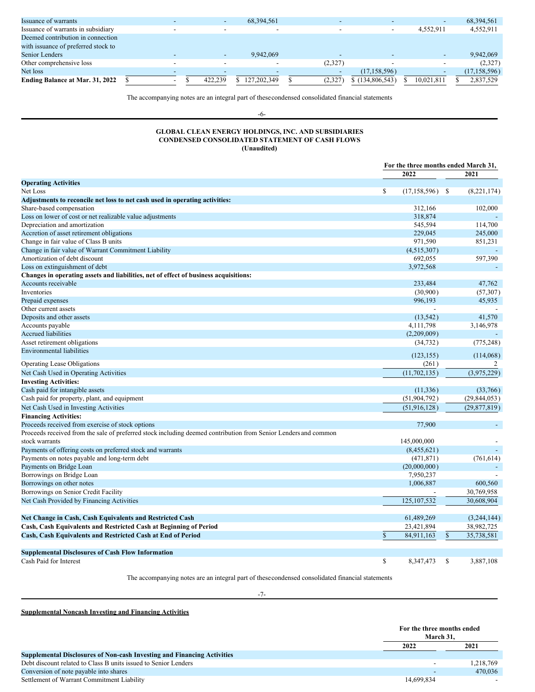| Issuance of warrants                   |  |         | 68, 394, 561 |         |                |            | 68,394,561     |
|----------------------------------------|--|---------|--------------|---------|----------------|------------|----------------|
| Issuance of warrants in subsidiary     |  |         |              |         |                | 4.552.911  | 4,552,911      |
| Deemed contribution in connection      |  |         |              |         |                |            |                |
| with issuance of preferred stock to    |  |         |              |         |                |            |                |
| <b>Senior Lenders</b>                  |  |         | 9.942,069    |         |                |            | 9,942,069      |
| Other comprehensive loss               |  |         |              | (2,327) |                |            | (2,327)        |
| Net loss                               |  |         |              |         | (17, 158, 596) |            | (17, 158, 596) |
| <b>Ending Balance at Mar. 31, 2022</b> |  | 422.239 | 127.202.349  | (2,327) | (134,806,543)  | 10,021,811 | 2,837,529      |

The accompanying notes are an integral part of thesecondensed consolidated financial statements

-6-

# <span id="page-3-0"></span>**GLOBAL CLEAN ENERGY HOLDINGS, INC. AND SUBSIDIARIES CONDENSED CONSOLIDATED STATEMENT OF CASH FLOWS (Unaudited)**

|                                                                                                                 | For the three months ended March 31, |                     |    |                |
|-----------------------------------------------------------------------------------------------------------------|--------------------------------------|---------------------|----|----------------|
|                                                                                                                 |                                      | 2022                |    | 2021           |
| <b>Operating Activities</b>                                                                                     |                                      |                     |    |                |
| Net Loss                                                                                                        | \$                                   | $(17, 158, 596)$ \$ |    | (8, 221, 174)  |
| Adjustments to reconcile net loss to net cash used in operating activities:                                     |                                      |                     |    |                |
| Share-based compensation                                                                                        |                                      | 312,166             |    | 102,000        |
| Loss on lower of cost or net realizable value adjustments                                                       |                                      | 318,874             |    |                |
| Depreciation and amortization                                                                                   |                                      | 545,594             |    | 114,700        |
| Accretion of asset retirement obligations                                                                       |                                      | 229,045             |    | 245,000        |
| Change in fair value of Class B units                                                                           |                                      | 971,590             |    | 851,231        |
| Change in fair value of Warrant Commitment Liability                                                            |                                      | (4,515,307)         |    |                |
| Amortization of debt discount                                                                                   |                                      | 692,055             |    | 597,390        |
| Loss on extinguishment of debt                                                                                  |                                      | 3,972,568           |    |                |
| Changes in operating assets and liabilities, net of effect of business acquisitions:                            |                                      |                     |    |                |
| Accounts receivable                                                                                             |                                      | 233,484             |    | 47,762         |
| Inventories                                                                                                     |                                      | (30,900)            |    | (57, 307)      |
| Prepaid expenses                                                                                                |                                      | 996.193             |    | 45,935         |
| Other current assets                                                                                            |                                      |                     |    |                |
| Deposits and other assets                                                                                       |                                      | (13, 542)           |    | 41,570         |
| Accounts payable                                                                                                |                                      | 4,111,798           |    | 3,146,978      |
| <b>Accrued liabilities</b>                                                                                      |                                      | (2,209,009)         |    |                |
| Asset retirement obligations                                                                                    |                                      | (34, 732)           |    | (775, 248)     |
| <b>Environmental liabilities</b>                                                                                |                                      | (123, 155)          |    | (114,068)      |
| <b>Operating Lease Obligations</b>                                                                              |                                      | (261)               |    | 2              |
| Net Cash Used in Operating Activities                                                                           |                                      | (11, 702, 135)      |    | (3,975,229)    |
| <b>Investing Activities:</b>                                                                                    |                                      |                     |    |                |
| Cash paid for intangible assets                                                                                 |                                      | (11, 336)           |    | (33,766)       |
| Cash paid for property, plant, and equipment                                                                    |                                      | (51, 904, 792)      |    | (29, 844, 053) |
| Net Cash Used in Investing Activities                                                                           |                                      | (51, 916, 128)      |    | (29, 877, 819) |
| <b>Financing Activities:</b>                                                                                    |                                      |                     |    |                |
| Proceeds received from exercise of stock options                                                                |                                      | 77,900              |    |                |
| Proceeds received from the sale of preferred stock including deemed contribution from Senior Lenders and common |                                      |                     |    |                |
| stock warrants                                                                                                  |                                      | 145,000,000         |    |                |
| Payments of offering costs on preferred stock and warrants                                                      |                                      | (8,455,621)         |    |                |
| Payments on notes payable and long-term debt                                                                    |                                      | (471, 871)          |    | (761, 614)     |
| Payments on Bridge Loan                                                                                         |                                      | (20,000,000)        |    |                |
| Borrowings on Bridge Loan                                                                                       |                                      | 7,950,237           |    |                |
| Borrowings on other notes                                                                                       |                                      | 1,006,887           |    | 600,560        |
| Borrowings on Senior Credit Facility                                                                            |                                      |                     |    | 30,769,958     |
|                                                                                                                 |                                      | 125, 107, 532       |    |                |
| Net Cash Provided by Financing Activities                                                                       |                                      |                     |    | 30,608,904     |
| Net Change in Cash, Cash Equivalents and Restricted Cash                                                        |                                      | 61,489,269          |    | (3,244,144)    |
| Cash, Cash Equivalents and Restricted Cash at Beginning of Period                                               |                                      | 23,421,894          |    | 38,982,725     |
| Cash, Cash Equivalents and Restricted Cash at End of Period                                                     | \$                                   | 84,911,163          | \$ | 35,738,581     |
| <b>Supplemental Disclosures of Cash Flow Information</b>                                                        |                                      |                     |    |                |
| Cash Paid for Interest                                                                                          | \$                                   | 8,347,473           | \$ | 3,887,108      |
|                                                                                                                 |                                      |                     |    |                |

The accompanying notes are an integral part of thesecondensed consolidated financial statements

-7-

**Supplemental Noncash Investing and Financing Activities**

|                                                                                | For the three months ended<br>March 31. |           |
|--------------------------------------------------------------------------------|-----------------------------------------|-----------|
|                                                                                | 2022                                    | 2021      |
| <b>Supplemental Disclosures of Non-cash Investing and Financing Activities</b> |                                         |           |
| Debt discount related to Class B units issued to Senior Lenders                |                                         | 1,218,769 |
| Conversion of note payable into shares                                         |                                         | 470,036   |
| Settlement of Warrant Commitment Liability                                     | 14.699.834                              |           |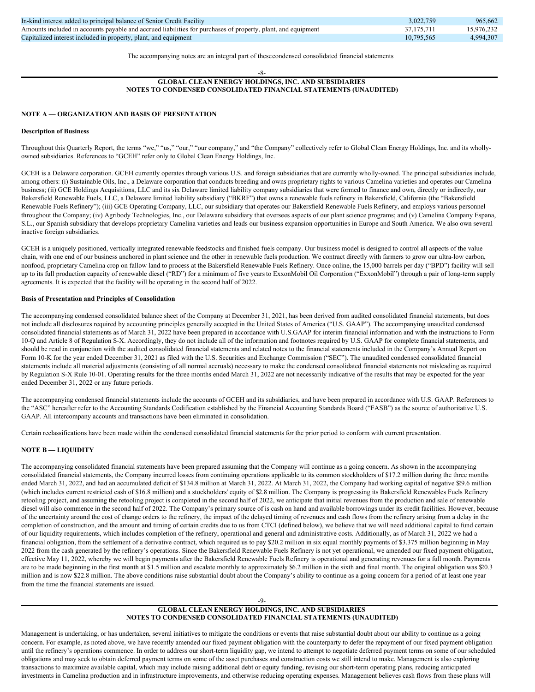| In-kind interest added to principal balance of Senior Credit Facility                                        | 3.022.759  | 965,662    |
|--------------------------------------------------------------------------------------------------------------|------------|------------|
| Amounts included in accounts payable and accrued liabilities for purchases of property, plant, and equipment | 37.175.711 | 15.976.232 |
| Capitalized interest included in property, plant, and equipment                                              | 10.795.565 | 4.994.307  |

The accompanying notes are an integral part of thesecondensed consolidated financial statements

-8-

# **GLOBAL CLEAN ENERGY HOLDINGS, INC. AND SUBSIDIARIES NOTES TO CONDENSED CONSOLIDATED FINANCIAL STATEMENTS (UNAUDITED)**

# **NOTE A — ORGANIZATION AND BASIS OF PRESENTATION**

#### **Description of Business**

Throughout this Quarterly Report, the terms "we," "us," "our," "our company," and "the Company" collectively refer to Global Clean Energy Holdings, Inc. and its whollyowned subsidiaries. References to "GCEH" refer only to Global Clean Energy Holdings, Inc.

GCEH is a Delaware corporation. GCEH currently operates through various U.S. and foreign subsidiaries that are currently wholly-owned. The principal subsidiaries include, among others: (i) Sustainable Oils, Inc., a Delaware corporation that conducts breeding and owns proprietary rights to various Camelina varieties and operates our Camelina business; (ii) GCE Holdings Acquisitions, LLC and its six Delaware limited liability company subsidiaries that were formed to finance and own, directly or indirectly, our Bakersfield Renewable Fuels, LLC, a Delaware limited liability subsidiary ("BKRF") that owns a renewable fuels refinery in Bakersfield, California (the "Bakersfield Renewable Fuels Refinery"); (iii) GCE Operating Company, LLC, our subsidiary that operates our Bakersfield Renewable Fuels Refinery, and employs various personnel throughout the Company; (iv) Agribody Technologies, Inc., our Delaware subsidiary that oversees aspects of our plant science programs; and (v) Camelina Company Espana, S.L., our Spanish subsidiary that develops proprietary Camelina varieties and leads our business expansion opportunities in Europe and South America. We also own several inactive foreign subsidiaries.

GCEH is a uniquely positioned, vertically integrated renewable feedstocks and finished fuels company. Our business model is designed to control all aspects of the value chain, with one end of our business anchored in plant science and the other in renewable fuels production. We contract directly with farmers to grow our ultra-low carbon, nonfood, proprietary Camelina crop on fallow land to process at the Bakersfield Renewable Fuels Refinery. Once online, the 15,000 barrels per day ("BPD") facility will sell up to its full production capacity of renewable diesel ("RD") for a minimum of five yearsto ExxonMobil Oil Corporation ("ExxonMobil") through a pair of long-term supply agreements. It is expected that the facility will be operating in the second half of 2022.

#### **Basis of Presentation and Principles of Consolidation**

The accompanying condensed consolidated balance sheet of the Company at December 31, 2021, has been derived from audited consolidated financial statements, but does not include all disclosures required by accounting principles generally accepted in the United States of America ("U.S. GAAP"). The accompanying unaudited condensed consolidated financial statements as of March 31, 2022 have been prepared in accordance with U.S.GAAP for interim financial information and with the instructions to Form 10-Q and Article 8 of Regulation S-X. Accordingly, they do not include all of the information and footnotes required by U.S. GAAP for complete financial statements, and should be read in conjunction with the audited consolidated financial statements and related notes to the financial statements included in the Company's Annual Report on Form 10-K for the year ended December 31, 2021 as filed with the U.S. Securities and Exchange Commission ("SEC"). The unaudited condensed consolidated financial statements include all material adjustments (consisting of all normal accruals) necessary to make the condensed consolidated financial statements not misleading as required by Regulation S-X Rule 10-01. Operating results for the three months ended March 31, 2022 are not necessarily indicative of the results that may be expected for the year ended December 31, 2022 or any future periods.

The accompanying condensed financial statements include the accounts of GCEH and its subsidiaries, and have been prepared in accordance with U.S. GAAP. References to the "ASC" hereafter refer to the Accounting Standards Codification established by the Financial Accounting Standards Board ("FASB") as the source of authoritative U.S. GAAP. All intercompany accounts and transactions have been eliminated in consolidation.

Certain reclassifications have been made within the condensed consolidated financial statements for the prior period to conform with current presentation.

# **NOTE B — LIQUIDITY**

The accompanying consolidated financial statements have been prepared assuming that the Company will continue as a going concern. As shown in the accompanying consolidated financial statements, the Company incurred losses from continuing operations applicable to its common stockholders of \$17.2 million during the three months ended March 31, 2022, and had an accumulated deficit of \$134.8 million at March 31, 2022. At March 31, 2022, the Company had working capital of negative \$2.6 million (which includes current restricted cash of \$16.8 million) and a stockholders' equity of \$2.8 million. The Company is progressing its Bakersfield Renewables Fuels Refinery retooling project, and assuming the retooling project is completed in the second half of 2022, we anticipate that initial revenues from the production and sale of renewable diesel will also commence in the second half of 2022. The Company's primary source of is cash on hand and available borrowings under its credit facilities. However, because of the uncertainty around the cost of change orders to the refinery, the impact of the delayed timing of revenues and cash flows from the refinery arising from a delay in the completion of construction, and the amount and timing of certain credits due to us from CTCI (defined below), we believe that we will need additional capital to fund certain of our liquidity requirements, which includes completion of the refinery, operational and general and administrative costs. Additionally, as of March 31, 2022 we had a financial obligation, from the settlement of a derivative contract, which required us to pay \$20.2 million in six equal monthly payments of \$3.375 million beginning in May 2022 from the cash generated by the refinery's operations. Since the Bakersfield Renewable Fuels Refinery is not yet operational, we amended our fixed payment obligation, effective May 11, 2022, whereby we will begin payments after the Bakersfield Renewable Fuels Refinery is operational and generating revenues for a full month. Payments are to be made beginning in the first month at \$1.5 million and escalate monthly to approximately \$6.2 million in the sixth and final month. The original obligation was \$20.3 million and is now \$22.8 million. The above conditions raise substantial doubt about the Company's ability to continue as a going concern for a period of at least one year from the time the financial statements are issued.

# $-9$ **GLOBAL CLEAN ENERGY HOLDINGS, INC. AND SUBSIDIARIES NOTES TO CONDENSED CONSOLIDATED FINANCIAL STATEMENTS (UNAUDITED)**

Management is undertaking, or has undertaken, several initiatives to mitigate the conditions or events that raise substantial doubt about our ability to continue as a going concern. For example, as noted above, we have recently amended our fixed payment obligation with the counterparty to defer the repayment of our fixed payment obligation until the refinery's operations commence. In order to address our short-term liquidity gap, we intend to attempt to negotiate deferred payment terms on some of our scheduled obligations and may seek to obtain deferred payment terms on some of the asset purchases and construction costs we still intend to make. Management is also exploring transactions to maximize available capital, which may include raising additional debt or equity funding, revising our short-term operating plans, reducing anticipated investments in Camelina production and in infrastructure improvements, and otherwise reducing operating expenses. Management believes cash flows from these plans will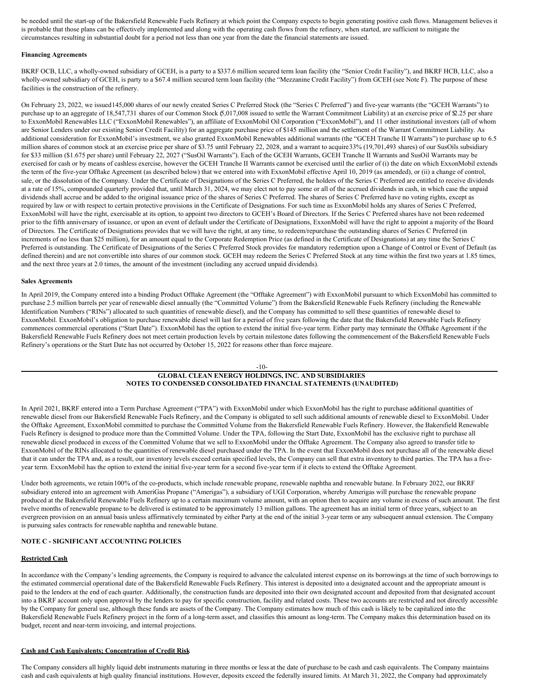be needed until the start-up of the Bakersfield Renewable Fuels Refinery at which point the Company expects to begin generating positive cash flows. Management believes it is probable that those plans can be effectively implemented and along with the operating cash flows from the refinery, when started, are sufficient to mitigate the circumstances resulting in substantial doubt for a period not less than one year from the date the financial statements are issued.

## **Financing Agreements**

BKRF OCB, LLC, a wholly-owned subsidiary of GCEH, is a party to a \$337.6 million secured term loan facility (the "Senior Credit Facility"), and BKRF HCB, LLC, also a wholly-owned subsidiary of GCEH, is party to a \$67.4 million secured term loan facility (the "Mezzanine Credit Facility") from GCEH (see Note F). The purpose of these facilities is the construction of the refinery.

On February 23, 2022, we issued145,000 shares of our newly created Series C Preferred Stock (the "Series C Preferred") and five-year warrants (the "GCEH Warrants") to purchase up to an aggregate of 18,547,731 shares of our Common Stock (5,017,008 issued to settle the Warrant Commitment Liability) at an exercise price of \$2.25 per share to ExxonMobil Renewables LLC ("ExxonMobil Renewables"), an affiliate of ExxonMobil Oil Corporation ("ExxonMobil"), and 11 other institutional investors (all of whom are Senior Lenders under our existing Senior Credit Facility) for an aggregate purchase price of \$145 million and the settlement of the Warrant Commitment Liability. As additional consideration for ExxonMobil's investment, we also granted ExxonMobil Renewables additional warrants (the "GCEH Tranche II Warrants") to purchase up to 6.5 million shares of common stock at an exercise price per share of \$3.75 until February 22, 2028, and a warrant to acquire 33% (19,701,493 shares) of our SusOils subsidiary for \$33 million (\$1.675 per share) until February 22, 2027 ("SusOil Warrants"). Each of the GCEH Warrants, GCEH Tranche II Warrants and SusOil Warrants may be exercised for cash or by means of cashless exercise, however the GCEH Tranche II Warrants cannot be exercised until the earlier of (i) the date on which ExxonMobil extends the term of the five-year Offtake Agreement (as described below) that we entered into with ExxonMobil effective April 10, 2019 (as amended), or (ii) a change of control, sale, or the dissolution of the Company. Under the Certificate of Designations of the Series C Preferred, the holders of the Series C Preferred are entitled to receive dividends at a rate of 15%, compounded quarterly provided that, until March 31, 2024, we may elect not to pay some or all of the accrued dividends in cash, in which case the unpaid dividends shall accrue and be added to the original issuance price of the shares of Series C Preferred. The shares of Series C Preferred have no voting rights, except as required by law or with respect to certain protective provisions in the Certificate of Designations. For such time as ExxonMobil holds any shares of Series C Preferred, ExxonMobil will have the right, exercisable at its option, to appoint two directors to GCEH's Board of Directors. If the Series C Preferred shares have not been redeemed prior to the fifth anniversary of issuance, or upon an event of default under the Certificate of Designations, ExxonMobil will have the right to appoint a majority of the Board of Directors. The Certificate of Designations provides that we will have the right, at any time, to redeem/repurchase the outstanding shares of Series C Preferred (in increments of no less than \$25 million), for an amount equal to the Corporate Redemption Price (as defined in the Certificate of Designations) at any time the Series C Preferred is outstanding. The Certificate of Designations of the Series C Preferred Stock provides for mandatory redemption upon a Change of Control or Event of Default (as defined therein) and are not convertible into shares of our common stock. GCEH may redeem the Series C Preferred Stock at any time within the first two years at 1.85 times, and the next three years at 2.0 times, the amount of the investment (including any accrued unpaid dividends).

#### **Sales Agreements**

In April 2019, the Company entered into a binding Product Offtake Agreement (the "Offtake Agreement") with ExxonMobil pursuant to which ExxonMobil has committed to purchase 2.5 million barrels per year of renewable diesel annually (the "Committed Volume") from the Bakersfield Renewable Fuels Refinery (including the Renewable Identification Numbers ("RINs") allocated to such quantities of renewable diesel), and the Company has committed to sell these quantities of renewable diesel to ExxonMobil. ExxonMobil's obligation to purchase renewable diesel will last for a period of five years following the date that the Bakersfield Renewable Fuels Refinery commences commercial operations ("Start Date"). ExxonMobil has the option to extend the initial five-year term. Either party may terminate the Offtake Agreement if the Bakersfield Renewable Fuels Refinery does not meet certain production levels by certain milestone dates following the commencement of the Bakersfield Renewable Fuels Refinery's operations or the Start Date has not occurred by October 15, 2022 for reasons other than force majeure.

#### -10- **GLOBAL CLEAN ENERGY HOLDINGS, INC. AND SUBSIDIARIES**

# **NOTES TO CONDENSED CONSOLIDATED FINANCIAL STATEMENTS (UNAUDITED)**

In April 2021, BKRF entered into a Term Purchase Agreement ("TPA") with ExxonMobil under which ExxonMobil has the right to purchase additional quantities of renewable diesel from our Bakersfield Renewable Fuels Refinery, and the Company is obligated to sell such additional amounts of renewable diesel to ExxonMobil. Under the Offtake Agreement, ExxonMobil committed to purchase the Committed Volume from the Bakersfield Renewable Fuels Refinery. However, the Bakersfield Renewable Fuels Refinery is designed to produce more than the Committed Volume. Under the TPA, following the Start Date, ExxonMobil has the exclusive right to purchase all renewable diesel produced in excess of the Committed Volume that we sell to ExxonMobil under the Offtake Agreement. The Company also agreed to transfer title to ExxonMobil of the RINs allocated to the quantities of renewable diesel purchased under the TPA. In the event that ExxonMobil does not purchase all of the renewable diesel that it can under the TPA and, as a result, our inventory levels exceed certain specified levels, the Company can sell that extra inventory to third parties. The TPA has a fiveyear term. ExxonMobil has the option to extend the initial five-year term for a second five-year term if it elects to extend the Offtake Agreement.

Under both agreements, we retain 100% of the co-products, which include renewable propane, renewable naphtha and renewable butane. In February 2022, our BKRF subsidiary entered into an agreement with AmeriGas Propane ("Amerigas"), a subsidiary of UGI Corporation, whereby Amerigas will purchase the renewable propane produced at the Bakersfield Renewable Fuels Refinery up to a certain maximum volume amount, with an option then to acquire any volume in excess of such amount. The first twelve months of renewable propane to be delivered is estimated to be approximately 13 million gallons. The agreement has an initial term of three years, subject to an evergreen provision on an annual basis unless affirmatively terminated by either Party at the end of the initial 3-year term or any subsequent annual extension. The Company is pursuing sales contracts for renewable naphtha and renewable butane.

#### **NOTE C - SIGNIFICANT ACCOUNTING POLICIES**

#### **Restricted Cash**

In accordance with the Company's lending agreements, the Company is required to advance the calculated interest expense on its borrowings at the time of such borrowings to the estimated commercial operational date of the Bakersfield Renewable Fuels Refinery. This interest is deposited into a designated account and the appropriate amount is paid to the lenders at the end of each quarter. Additionally, the construction funds are deposited into their own designated account and deposited from that designated account into a BKRF account only upon approval by the lenders to pay for specific construction, facility and related costs. These two accounts are restricted and not directly accessible by the Company for general use, although these funds are assets of the Company. The Company estimates how much of this cash is likely to be capitalized into the Bakersfield Renewable Fuels Refinery project in the form of a long-term asset, and classifies this amount as long-term. The Company makes this determination based on its budget, recent and near-term invoicing, and internal projections.

#### **Cash and Cash Equivalents; Concentration of Credit Risk**

The Company considers all highly liquid debt instruments maturing in three months or less at the date of purchase to be cash and cash equivalents. The Company maintains cash and cash equivalents at high quality financial institutions. However, deposits exceed the federally insured limits. At March 31, 2022, the Company had approximately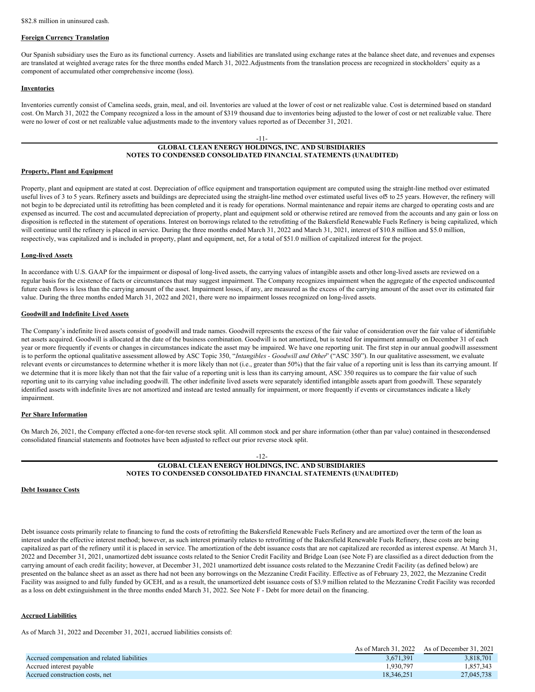#### **Foreign Currency Translation**

Our Spanish subsidiary uses the Euro as its functional currency. Assets and liabilities are translated using exchange rates at the balance sheet date, and revenues and expenses are translated at weighted average rates for the three months ended March 31, 2022.Adjustments from the translation process are recognized in stockholders' equity as a component of accumulated other comprehensive income (loss).

#### **Inventories**

Inventories currently consist of Camelina seeds, grain, meal, and oil. Inventories are valued at the lower of cost or net realizable value. Cost is determined based on standard cost. On March 31, 2022 the Company recognized a loss in the amount of \$319 thousand due to inventories being adjusted to the lower of cost or net realizable value. There were no lower of cost or net realizable value adjustments made to the inventory values reported as of December 31, 2021.

### -11- **GLOBAL CLEAN ENERGY HOLDINGS, INC. AND SUBSIDIARIES NOTES TO CONDENSED CONSOLIDATED FINANCIAL STATEMENTS (UNAUDITED)**

## **Property, Plant and Equipment**

Property, plant and equipment are stated at cost. Depreciation of office equipment and transportation equipment are computed using the straight-line method over estimated useful lives of 3 to 5 years. Refinery assets and buildings are depreciated using the straight-line method over estimated useful lives of5 to 25 years. However, the refinery will not begin to be depreciated until its retrofitting has been completed and it is ready for operations. Normal maintenance and repair items are charged to operating costs and are expensed as incurred. The cost and accumulated depreciation of property, plant and equipment sold or otherwise retired are removed from the accounts and any gain or loss on disposition is reflected in the statement of operations. Interest on borrowings related to the retrofitting of the Bakersfield Renewable Fuels Refinery is being capitalized, which will continue until the refinery is placed in service. During the three months ended March 31, 2022 and March 31, 2021, interest of \$10.8 million and \$5.0 million, respectively, was capitalized and is included in property, plant and equipment, net, for a total of \$51.0 million of capitalized interest for the project.

#### **Long-lived Assets**

In accordance with U.S. GAAP for the impairment or disposal of long-lived assets, the carrying values of intangible assets and other long-lived assets are reviewed on a regular basis for the existence of facts or circumstances that may suggest impairment. The Company recognizes impairment when the aggregate of the expected undiscounted future cash flows is less than the carrying amount of the asset. Impairment losses, if any, are measured as the excess of the carrying amount of the asset over its estimated fair value. During the three months ended March 31, 2022 and 2021, there were no impairment losses recognized on long-lived assets.

#### **Goodwill and Indefinite Lived Assets**

The Company's indefinite lived assets consist of goodwill and trade names. Goodwill represents the excess of the fair value of consideration over the fair value of identifiable net assets acquired. Goodwill is allocated at the date of the business combination. Goodwill is not amortized, but is tested for impairment annually on December 31 of each year or more frequently if events or changes in circumstances indicate the asset may be impaired. We have one reporting unit. The first step in our annual goodwill assessment is to perform the optional qualitative assessment allowed by ASC Topic 350, "*Intangibles - Goodwill and Other*" ("ASC 350"). In our qualitative assessment, we evaluate relevant events or circumstances to determine whether it is more likely than not (i.e., greater than 50%) that the fair value of a reporting unit is less than its carrying amount. If we determine that it is more likely than not that the fair value of a reporting unit is less than its carrying amount, ASC 350 requires us to compare the fair value of such reporting unit to its carrying value including goodwill. The other indefinite lived assets were separately identified intangible assets apart from goodwill. These separately identified assets with indefinite lives are not amortized and instead are tested annually for impairment, or more frequently if events or circumstances indicate a likely impairment.

#### **Per Share Information**

On March 26, 2021, the Company effected a one-for-ten reverse stock split. All common stock and per share information (other than par value) contained in thesecondensed consolidated financial statements and footnotes have been adjusted to reflect our prior reverse stock split.

#### -12- **GLOBAL CLEAN ENERGY HOLDINGS, INC. AND SUBSIDIARIES NOTES TO CONDENSED CONSOLIDATED FINANCIAL STATEMENTS (UNAUDITED)**

#### **Debt Issuance Costs**

Debt issuance costs primarily relate to financing to fund the costs of retrofitting the Bakersfield Renewable Fuels Refinery and are amortized over the term of the loan as interest under the effective interest method; however, as such interest primarily relates to retrofitting of the Bakersfield Renewable Fuels Refinery, these costs are being capitalized as part of the refinery until it is placed in service. The amortization of the debt issuance costs that are not capitalized are recorded as interest expense. At March 31, 2022 and December 31, 2021, unamortized debt issuance costs related to the Senior Credit Facility and Bridge Loan (see Note F) are classified as a direct deduction from the carrying amount of each credit facility; however, at December 31, 2021 unamortized debt issuance costs related to the Mezzanine Credit Facility (as defined below) are presented on the balance sheet as an asset as there had not been any borrowings on the Mezzanine Credit Facility. Effective as of February 23, 2022, the Mezzanine Credit Facility was assigned to and fully funded by GCEH, and as a result, the unamortized debt issuance costs of \$3.9 million related to the Mezzanine Credit Facility was recorded as a loss on debt extinguishment in the three months ended March 31, 2022. See Note F - Debt for more detail on the financing.

#### **Accrued Liabilities**

As of March 31, 2022 and December 31, 2021, accrued liabilities consists of:

|                                              |            | As of March 31, 2022 As of December 31, 2021 |
|----------------------------------------------|------------|----------------------------------------------|
| Accrued compensation and related liabilities | 3.671.391  | 3,818,701                                    |
| Accrued interest payable                     | 1.930.797  | 1.857.343                                    |
| Accrued construction costs, net              | 18.346.251 | 27,045,738                                   |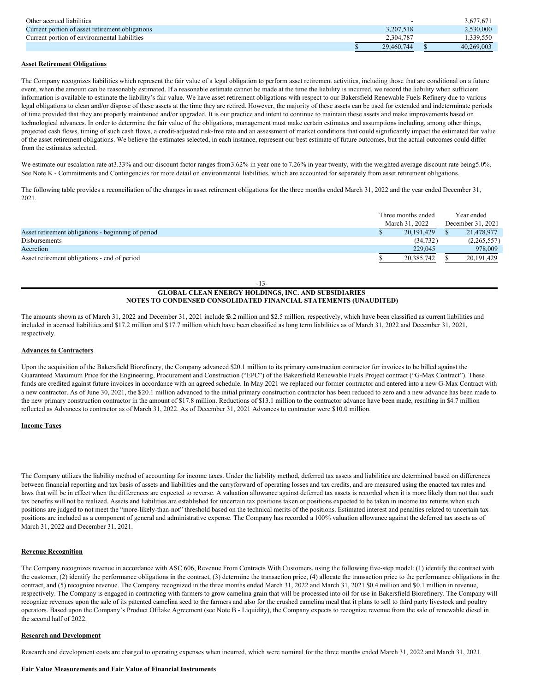| Other accrued liabilities                       |            | 3,677,671  |
|-------------------------------------------------|------------|------------|
| Current portion of asset retirement obligations | 3.207.518  | 2,530,000  |
| Current portion of environmental liabilities    | 2.304.787  | .339.550   |
|                                                 | 29,460,744 | 40.269,003 |

#### **Asset Retirement Obligations**

The Company recognizes liabilities which represent the fair value of a legal obligation to perform asset retirement activities, including those that are conditional on a future event, when the amount can be reasonably estimated. If a reasonable estimate cannot be made at the time the liability is incurred, we record the liability when sufficient information is available to estimate the liability's fair value. We have asset retirement obligations with respect to our Bakersfield Renewable Fuels Refinery due to various legal obligations to clean and/or dispose of these assets at the time they are retired. However, the majority of these assets can be used for extended and indeterminate periods of time provided that they are properly maintained and/or upgraded. It is our practice and intent to continue to maintain these assets and make improvements based on technological advances. In order to determine the fair value of the obligations, management must make certain estimates and assumptions including, among other things, projected cash flows, timing of such cash flows, a credit-adjusted risk-free rate and an assessment of market conditions that could significantly impact the estimated fair value of the asset retirement obligations. We believe the estimates selected, in each instance, represent our best estimate of future outcomes, but the actual outcomes could differ from the estimates selected.

We estimate our escalation rate at 3.33% and our discount factor ranges from 3.62% in year one to 7.26% in year twenty, with the weighted average discount rate being 5.0%. See Note K - Commitments and Contingencies for more detail on environmental liabilities, which are accounted for separately from asset retirement obligations.

The following table provides a reconciliation of the changes in asset retirement obligations for the three months ended March 31, 2022 and the year ended December 31, 2021.

|                                                    | Three months ended |                | Year ended |                   |
|----------------------------------------------------|--------------------|----------------|------------|-------------------|
|                                                    |                    | March 31, 2022 |            | December 31, 2021 |
| Asset retirement obligations - beginning of period |                    | 20.191.429     |            | 21,478,977        |
| <b>Disbursements</b>                               |                    | (34, 732)      |            | (2,265,557)       |
| Accretion                                          |                    | 229,045        |            | 978,009           |
| Asset retirement obligations - end of period       |                    | 20,385,742     |            | 20.191.429        |

-13-

# **GLOBAL CLEAN ENERGY HOLDINGS, INC. AND SUBSIDIARIES NOTES TO CONDENSED CONSOLIDATED FINANCIAL STATEMENTS (UNAUDITED)**

The amounts shown as of March 31, 2022 and December 31, 2021 include \$3.2 million and \$2.5 million, respectively, which have been classified as current liabilities and included in accrued liabilities and \$17.2 million and \$17.7 million which have been classified as long term liabilities as of March 31, 2022 and December 31, 2021, respectively.

#### **Advances to Contractors**

Upon the acquisition of the Bakersfield Biorefinery, the Company advanced \$20.1 million to its primary construction contractor for invoices to be billed against the Guaranteed Maximum Price for the Engineering, Procurement and Construction ("EPC") of the Bakersfield Renewable Fuels Project contract ("G-Max Contract"). These funds are credited against future invoices in accordance with an agreed schedule. In May 2021 we replaced our former contractor and entered into a new G-Max Contract with a new contractor. As of June 30, 2021, the \$20.1 million advanced to the initial primary construction contractor has been reduced to zero and a new advance has been made to the new primary construction contractor in the amount of \$17.8 million. Reductions of \$13.1 million to the contractor advance have been made, resulting in \$4.7 million reflected as Advances to contractor as of March 31, 2022. As of December 31, 2021 Advances to contractor were \$10.0 million.

#### **Income Taxes**

The Company utilizes the liability method of accounting for income taxes. Under the liability method, deferred tax assets and liabilities are determined based on differences between financial reporting and tax basis of assets and liabilities and the carryforward of operating losses and tax credits, and are measured using the enacted tax rates and laws that will be in effect when the differences are expected to reverse. A valuation allowance against deferred tax assets is recorded when it is more likely than not that such tax benefits will not be realized. Assets and liabilities are established for uncertain tax positions taken or positions expected to be taken in income tax returns when such positions are judged to not meet the "more-likely-than-not" threshold based on the technical merits of the positions. Estimated interest and penalties related to uncertain tax positions are included as a component of general and administrative expense. The Company has recorded a 100% valuation allowance against the deferred tax assets as of March 31, 2022 and December 31, 2021.

### **Revenue Recognition**

The Company recognizes revenue in accordance with ASC 606, Revenue From Contracts With Customers, using the following five-step model: (1) identify the contract with the customer, (2) identify the performance obligations in the contract, (3) determine the transaction price, (4) allocate the transaction price to the performance obligations in the contract, and (5) recognize revenue. The Company recognized in the three months ended March 31, 2022 and March 31, 2021 \$0.4 million and \$0.1 million in revenue, respectively. The Company is engaged in contracting with farmers to grow camelina grain that will be processed into oil for use in Bakersfield Biorefinery. The Company will recognize revenues upon the sale of its patented camelina seed to the farmers and also for the crushed camelina meal that it plans to sell to third party livestock and poultry operators. Based upon the Company's Product Offtake Agreement (see Note B - Liquidity), the Company expects to recognize revenue from the sale of renewable diesel in the second half of 2022.

#### **Research and Development**

Research and development costs are charged to operating expenses when incurred, which were nominal for the three months ended March 31, 2022 and March 31, 2021.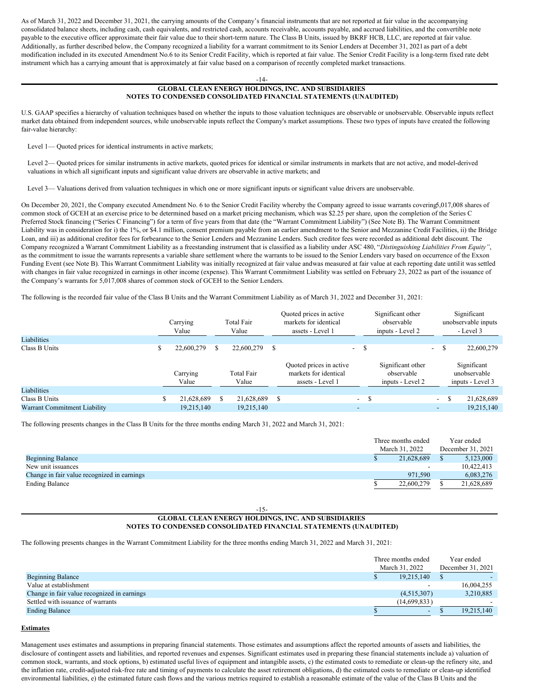As of March 31, 2022 and December 31, 2021, the carrying amounts of the Company's financial instruments that are not reported at fair value in the accompanying consolidated balance sheets, including cash, cash equivalents, and restricted cash, accounts receivable, accounts payable, and accrued liabilities, and the convertible note payable to the executive officer approximate their fair value due to their short-term nature. The Class B Units, issued by BKRF HCB, LLC, are reported at fair value. Additionally, as further described below, the Company recognized a liability for a warrant commitment to its Senior Lenders at December 31, 2021 as part of a debt modification included in its executed Amendment No.6 to its Senior Credit Facility, which is reported at fair value. The Senior Credit Facility is a long-term fixed rate debt instrument which has a carrying amount that is approximately at fair value based on a comparison of recently completed market transactions.

#### -14-

# **GLOBAL CLEAN ENERGY HOLDINGS, INC. AND SUBSIDIARIES NOTES TO CONDENSED CONSOLIDATED FINANCIAL STATEMENTS (UNAUDITED)**

U.S. GAAP specifies a hierarchy of valuation techniques based on whether the inputs to those valuation techniques are observable or unobservable. Observable inputs reflect market data obtained from independent sources, while unobservable inputs reflect the Company's market assumptions. These two types of inputs have created the following fair-value hierarchy:

Level 1— Quoted prices for identical instruments in active markets;

Level 2— Quoted prices for similar instruments in active markets, quoted prices for identical or similar instruments in markets that are not active, and model-derived valuations in which all significant inputs and significant value drivers are observable in active markets; and

Level 3— Valuations derived from valuation techniques in which one or more significant inputs or significant value drivers are unobservable.

On December 20, 2021, the Company executed Amendment No. 6 to the Senior Credit Facility whereby the Company agreed to issue warrants covering5,017,008 shares of common stock of GCEH at an exercise price to be determined based on a market pricing mechanism, which was \$2.25 per share, upon the completion of the Series C Preferred Stock financing ("Series C Financing") for a term of five years from that date (the "Warrant Commitment Liability") (See Note B). The Warrant Commitment Liability was in consideration for i) the 1%, or \$4.1 million, consent premium payable from an earlier amendment to the Senior and Mezzanine Credit Facilities, ii) the Bridge Loan, and iii) as additional creditor fees for forbearance to the Senior Lenders and Mezzanine Lenders. Such creditor fees were recorded as additional debt discount. The Company recognized a Warrant Commitment Liability as a freestanding instrument that is classified as a liability under ASC 480, "*Distinguishing Liabilities From Equity"*, as the commitment to issue the warrants represents a variable share settlement where the warrants to be issued to the Senior Lenders vary based on occurrence of the Exxon Funding Event (see Note B). This Warrant Commitment Liability was initially recognized at fair value andwas measured at fair value at each reporting date untilit was settled with changes in fair value recognized in earnings in other income (expense). This Warrant Commitment Liability was settled on February 23, 2022 as part of the issuance of the Company's warrants for 5,017,008 shares of common stock of GCEH to the Senior Lenders.

The following is the recorded fair value of the Class B Units and the Warrant Commitment Liability as of March 31, 2022 and December 31, 2021:

| Liabilities                  | Carrying<br>Value |    | <b>Total Fair</b><br>Value |   | Quoted prices in active<br>markets for identical<br>assets - Level 1 |                          | Significant other<br>observable<br>inputs - Level 2 |                             | Significant<br>unobservable inputs<br>- Level 3 |
|------------------------------|-------------------|----|----------------------------|---|----------------------------------------------------------------------|--------------------------|-----------------------------------------------------|-----------------------------|-------------------------------------------------|
| Class B Units                | 22,600,279        | S  | 22,600,279                 | S | $\sim$                                                               | -S                       |                                                     | S<br>$\sim 100$             | 22,600,279                                      |
|                              | Carrying<br>Value |    | <b>Total Fair</b><br>Value |   | Quoted prices in active<br>markets for identical<br>assets - Level 1 |                          | Significant other<br>observable<br>inputs - Level 2 |                             | Significant<br>unobservable<br>inputs - Level 3 |
| Liabilities                  |                   |    |                            |   |                                                                      |                          |                                                     |                             |                                                 |
| Class B Units                | 21,628,689        | S. | 21.628.689                 | S |                                                                      | S<br>$\sim$              |                                                     | $\mathcal{L}^{\mathcal{A}}$ | 21,628,689                                      |
| Warrant Commitment Liability | 19,215,140        |    | 19,215,140                 |   |                                                                      | $\overline{\phantom{a}}$ |                                                     | $\overline{\phantom{0}}$    | 19,215,140                                      |

The following presents changes in the Class B Units for the three months ending March 31, 2022 and March 31, 2021:

|                                             | Three months ended | Year ended        |            |  |
|---------------------------------------------|--------------------|-------------------|------------|--|
|                                             | March 31, 2022     | December 31, 2021 |            |  |
| <b>Beginning Balance</b>                    | 21,628,689         |                   | 5,123,000  |  |
| New unit issuances                          |                    |                   | 10,422,413 |  |
| Change in fair value recognized in earnings | 971.590            |                   | 6,083,276  |  |
| <b>Ending Balance</b>                       | 22,600,279         |                   | 21,628,689 |  |

#### -15- **GLOBAL CLEAN ENERGY HOLDINGS, INC. AND SUBSIDIARIES NOTES TO CONDENSED CONSOLIDATED FINANCIAL STATEMENTS (UNAUDITED)**

The following presents changes in the Warrant Commitment Liability for the three months ending March 31, 2022 and March 31, 2021:

|                                             | Three months ended<br>March 31, 2022 | Year ended<br>December 31, 2021 |
|---------------------------------------------|--------------------------------------|---------------------------------|
| <b>Beginning Balance</b>                    | 19,215,140                           |                                 |
| Value at establishment                      | $\overline{\phantom{a}}$             | 16,004,255                      |
| Change in fair value recognized in earnings | (4,515,307)                          | 3,210,885                       |
| Settled with issuance of warrants           | (14,699,833)                         |                                 |
| <b>Ending Balance</b>                       |                                      | 19,215,140                      |

#### **Estimates**

Management uses estimates and assumptions in preparing financial statements. Those estimates and assumptions affect the reported amounts of assets and liabilities, the disclosure of contingent assets and liabilities, and reported revenues and expenses. Significant estimates used in preparing these financial statements include a) valuation of common stock, warrants, and stock options, b) estimated useful lives of equipment and intangible assets, c) the estimated costs to remediate or clean-up the refinery site, and the inflation rate, credit-adjusted risk-free rate and timing of payments to calculate the asset retirement obligations, d) the estimated costs to remediate or clean-up identified environmental liabilities, e) the estimated future cash flows and the various metrics required to establish a reasonable estimate of the value of the Class B Units and the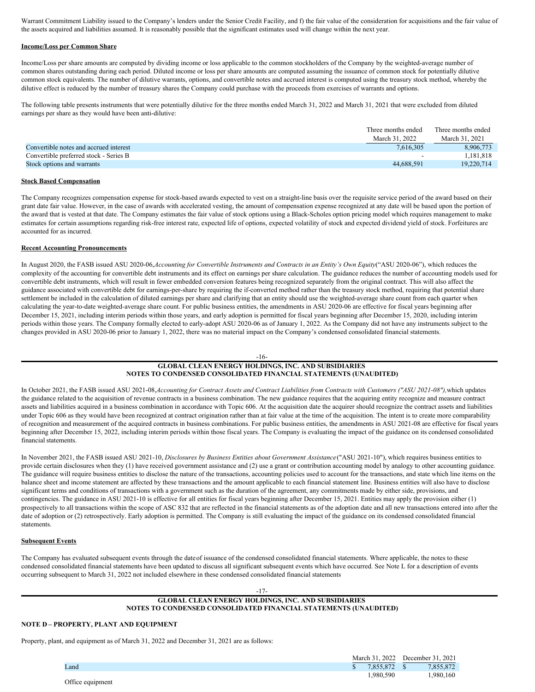Warrant Commitment Liability issued to the Company's lenders under the Senior Credit Facility, and f) the fair value of the consideration for acquisitions and the fair value of the assets acquired and liabilities assumed. It is reasonably possible that the significant estimates used will change within the next year.

#### **Income/Loss per Common Share**

Income/Loss per share amounts are computed by dividing income or loss applicable to the common stockholders of the Company by the weighted-average number of common shares outstanding during each period. Diluted income or loss per share amounts are computed assuming the issuance of common stock for potentially dilutive common stock equivalents. The number of dilutive warrants, options, and convertible notes and accrued interest is computed using the treasury stock method, whereby the dilutive effect is reduced by the number of treasury shares the Company could purchase with the proceeds from exercises of warrants and options.

The following table presents instruments that were potentially dilutive for the three months ended March 31, 2022 and March 31, 2021 that were excluded from diluted earnings per share as they would have been anti-dilutive:

|                                        | Three months ended       | Three months ended |
|----------------------------------------|--------------------------|--------------------|
|                                        | March 31, 2022           | March 31, 2021     |
| Convertible notes and accrued interest | 7.616.305                | 8,906,773          |
| Convertible preferred stock - Series B | $\overline{\phantom{0}}$ | 1.181.818          |
| Stock options and warrants             | 44.688.591               | 19,220,714         |
|                                        |                          |                    |

#### **Stock Based Compensation**

The Company recognizes compensation expense for stock-based awards expected to vest on a straight-line basis over the requisite service period of the award based on their grant date fair value. However, in the case of awards with accelerated vesting, the amount of compensation expense recognized at any date will be based upon the portion of the award that is vested at that date. The Company estimates the fair value of stock options using a Black-Scholes option pricing model which requires management to make estimates for certain assumptions regarding risk-free interest rate, expected life of options, expected volatility of stock and expected dividend yield of stock. Forfeitures are accounted for as incurred.

#### **Recent Accounting Pronouncements**

In August 2020, the FASB issued ASU 2020-06, Accounting for Convertible Instruments and Contracts in an Entity's Own Equity("ASU 2020-06"), which reduces the complexity of the accounting for convertible debt instruments and its effect on earnings per share calculation. The guidance reduces the number of accounting models used for convertible debt instruments, which will result in fewer embedded conversion features being recognized separately from the original contract. This will also affect the guidance associated with convertible debt for earnings-per-share by requiring the if-converted method rather than the treasury stock method, requiring that potential share settlement be included in the calculation of diluted earnings per share and clarifying that an entity should use the weighted-average share count from each quarter when calculating the year-to-date weighted-average share count. For public business entities, the amendments in ASU 2020-06 are effective for fiscal years beginning after December 15, 2021, including interim periods within those years, and early adoption is permitted for fiscal years beginning after December 15, 2020, including interim periods within those years. The Company formally elected to early-adopt ASU 2020-06 as of January 1, 2022. As the Company did not have any instruments subject to the changes provided in ASU 2020-06 prior to January 1, 2022, there was no material impact on the Company's condensed consolidated financial statements.

#### -16-

# **GLOBAL CLEAN ENERGY HOLDINGS, INC. AND SUBSIDIARIES NOTES TO CONDENSED CONSOLIDATED FINANCIAL STATEMENTS (UNAUDITED)**

In October 2021, the FASB issued ASU 2021-08, Accounting for Contract Assets and Contract Liabilities from Contracts with Customers ("ASU 2021-08"), which updates the guidance related to the acquisition of revenue contracts in a business combination. The new guidance requires that the acquiring entity recognize and measure contract assets and liabilities acquired in a business combination in accordance with Topic 606. At the acquisition date the acquirer should recognize the contract assets and liabilities under Topic 606 as they would have been recognized at contract origination rather than at fair value at the time of the acquisition. The intent is to create more comparability of recognition and measurement of the acquired contracts in business combinations. For public business entities, the amendments in ASU 2021-08 are effective for fiscal years beginning after December 15, 2022, including interim periods within those fiscal years. The Company is evaluating the impact of the guidance on its condensed consolidated financial statements.

In November 2021, the FASB issued ASU 2021-10, *Disclosures by Business Entities about Government Assistance* ("ASU 2021-10"), which requires business entities to provide certain disclosures when they (1) have received government assistance and (2) use a grant or contribution accounting model by analogy to other accounting guidance. The guidance will require business entities to disclose the nature of the transactions, accounting policies used to account for the transactions, and state which line items on the balance sheet and income statement are affected by these transactions and the amount applicable to each financial statement line. Business entities will also have to disclose significant terms and conditions of transactions with a government such as the duration of the agreement, any commitments made by either side, provisions, and contingencies. The guidance in ASU 2021-10 is effective for all entities for fiscal years beginning after December 15, 2021. Entities may apply the provision either (1) prospectively to all transactions within the scope of ASC 832 that are reflected in the financial statements as of the adoption date and all new transactions entered into after the date of adoption or (2) retrospectively. Early adoption is permitted. The Company is still evaluating the impact of the guidance on its condensed consolidated financial statements.

#### **Subsequent Events**

The Company has evaluated subsequent events through the dateof issuance of the condensed consolidated financial statements. Where applicable, the notes to these condensed consolidated financial statements have been updated to discuss all significant subsequent events which have occurred. See Note L for a description of events occurring subsequent to March 31, 2022 not included elsewhere in these condensed consolidated financial statements

#### -17- **GLOBAL CLEAN ENERGY HOLDINGS, INC. AND SUBSIDIARIES NOTES TO CONDENSED CONSOLIDATED FINANCIAL STATEMENTS (UNAUDITED)**

#### **NOTE D – PROPERTY, PLANT AND EQUIPMENT**

Property, plant, and equipment as of March 31, 2022 and December 31, 2021 are as follows:

|                  |              | March 31, 2022 December 31, 2021 |  |  |  |
|------------------|--------------|----------------------------------|--|--|--|
| Land             | 7.855.872 \$ | 7.855.872                        |  |  |  |
|                  | 1.980.590    | .980.160                         |  |  |  |
| Office equipment |              |                                  |  |  |  |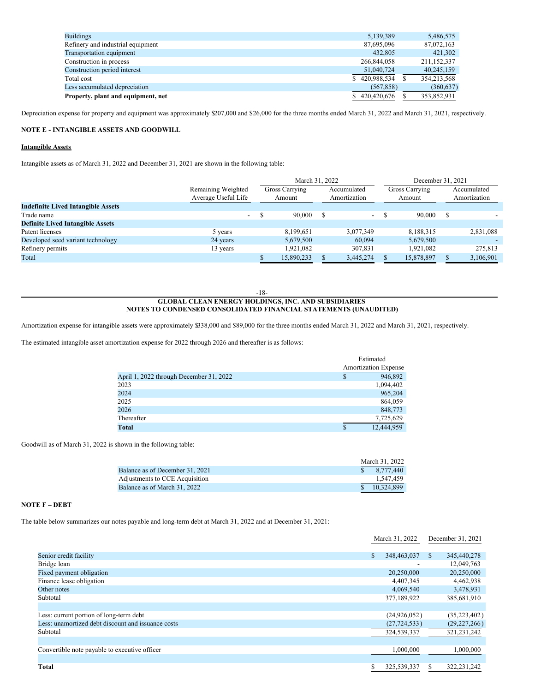| <b>Buildings</b>                   | 5,139,389     | 5,486,575     |
|------------------------------------|---------------|---------------|
| Refinery and industrial equipment  | 87,695,096    | 87,072,163    |
| Transportation equipment           | 432,805       | 421,302       |
| Construction in process            | 266,844,058   | 211,152,337   |
| Construction period interest       | 51,040,724    | 40,245,159    |
| Total cost                         | \$420,988,534 | 354, 213, 568 |
| Less accumulated depreciation      | (567, 858)    | (360, 637)    |
| Property, plant and equipment, net | \$420,420,676 | 353,852,931   |
|                                    |               |               |

Depreciation expense for property and equipment was approximately \$207,000 and \$26,000 for the three months ended March 31, 2022 and March 31, 2021, respectively.

# **NOTE E - INTANGIBLE ASSETS AND GOODWILL**

# **Intangible Assets**

Intangible assets as of March 31, 2022 and December 31, 2021 are shown in the following table:

|                                           |                                           | March 31, 2022           |  | December 31, 2021           |  |                          |    |                             |
|-------------------------------------------|-------------------------------------------|--------------------------|--|-----------------------------|--|--------------------------|----|-----------------------------|
|                                           | Remaining Weighted<br>Average Useful Life | Gross Carrying<br>Amount |  | Accumulated<br>Amortization |  | Gross Carrying<br>Amount |    | Accumulated<br>Amortization |
| <b>Indefinite Lived Intangible Assets</b> |                                           |                          |  |                             |  |                          |    |                             |
| Trade name                                | $\sim$                                    | 90.000                   |  | $\sim$                      |  | 90.000                   | \$ |                             |
| <b>Definite Lived Intangible Assets</b>   |                                           |                          |  |                             |  |                          |    |                             |
| Patent licenses                           | 5 years                                   | 8.199.651                |  | 3.077.349                   |  | 8.188.315                |    | 2,831,088                   |
| Developed seed variant technology         | 24 years                                  | 5,679,500                |  | 60,094                      |  | 5,679,500                |    |                             |
| Refinery permits                          | 13 years                                  | 1,921,082                |  | 307,831                     |  | 1.921.082                |    | 275,813                     |
| Total                                     |                                           | 15,890,233               |  | 3,445,274                   |  | 15,878,897               |    | 3,106,901                   |

### -18- **GLOBAL CLEAN ENERGY HOLDINGS, INC. AND SUBSIDIARIES NOTES TO CONDENSED CONSOLIDATED FINANCIAL STATEMENTS (UNAUDITED)**

Amortization expense for intangible assets were approximately \$338,000 and \$89,000 for the three months ended March 31, 2022 and March 31, 2021, respectively.

The estimated intangible asset amortization expense for 2022 through 2026 and thereafter is as follows:

|                                         | Estimated                   |
|-----------------------------------------|-----------------------------|
|                                         | <b>Amortization Expense</b> |
| April 1, 2022 through December 31, 2022 | 946,892<br>S                |
| 2023                                    | 1,094,402                   |
| 2024                                    | 965,204                     |
| 2025                                    | 864,059                     |
| 2026                                    | 848,773                     |
| Thereafter                              | 7,725,629                   |
| Total                                   | 12.444.959<br>S             |

Goodwill as of March 31, 2022 is shown in the following table:

|                                 | March 31, 2022          |
|---------------------------------|-------------------------|
| Balance as of December 31, 2021 | $\frac{1}{2}$ 8.777.440 |
| Adjustments to CCE Acquisition  | 1.547.459               |
| Balance as of March 31, 2022    | 10.324.899              |

# **NOTE F – DEBT**

The table below summarizes our notes payable and long-term debt at March 31, 2022 and at December 31, 2021:

|                                                    |    | March 31, 2022 |              | December 31, 2021 |
|----------------------------------------------------|----|----------------|--------------|-------------------|
| Senior credit facility                             | \$ | 348,463,037    | <sup>S</sup> | 345,440,278       |
| Bridge loan                                        |    |                |              | 12,049,763        |
| Fixed payment obligation                           |    | 20,250,000     |              | 20,250,000        |
| Finance lease obligation                           |    | 4,407,345      |              | 4,462,938         |
| Other notes                                        |    | 4,069,540      |              | 3,478,931         |
| Subtotal                                           |    | 377,189,922    |              | 385,681,910       |
|                                                    |    |                |              |                   |
| Less: current portion of long-term debt            |    | (24,926,052)   |              | (35,223,402)      |
| Less: unamortized debt discount and issuance costs |    | (27, 724, 533) |              | (29, 227, 266)    |
| Subtotal                                           |    | 324,539,337    |              | 321,231,242       |
|                                                    |    |                |              |                   |
| Convertible note payable to executive officer      |    | 1,000,000      |              | 1,000,000         |
|                                                    |    |                |              |                   |
| <b>Total</b>                                       | S  | 325,539,337    | S.           | 322, 231, 242     |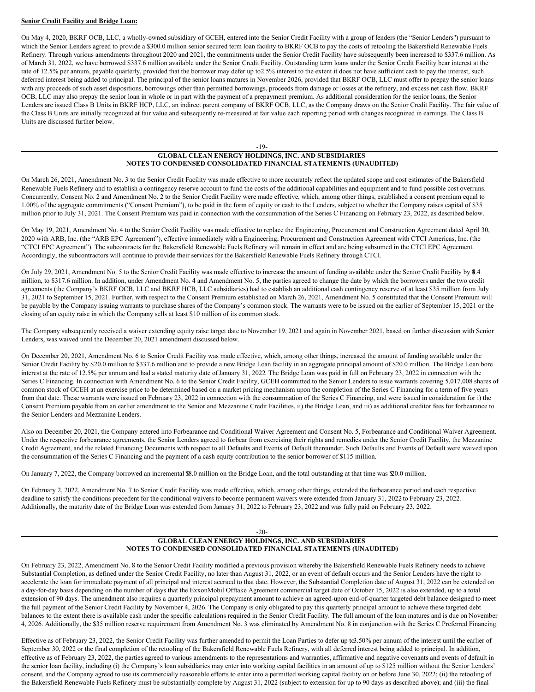#### **Senior Credit Facility and Bridge Loan:**

On May 4, 2020, BKRF OCB, LLC, a wholly-owned subsidiary of GCEH, entered into the Senior Credit Facility with a group of lenders (the "Senior Lenders'') pursuant to which the Senior Lenders agreed to provide a \$300.0 million senior secured term loan facility to BKRF OCB to pay the costs of retooling the Bakersfield Renewable Fuels Refinery. Through various amendments throughout 2020 and 2021, the commitments under the Senior Credit Facility have subsequently been increased to \$337.6 million. As of March 31, 2022, we have borrowed \$337.6 million available under the Senior Credit Facility. Outstanding term loans under the Senior Credit Facility bear interest at the rate of 12.5% per annum, payable quarterly, provided that the borrower may defer up to 2.5% interest to the extent it does not have sufficient cash to pay the interest, such deferred interest being added to principal. The principal of the senior loans matures in November 2026, provided that BKRF OCB, LLC must offer to prepay the senior loans with any proceeds of such asset dispositions, borrowings other than permitted borrowings, proceeds from damage or losses at the refinery, and excess net cash flow. BKRF OCB, LLC may also prepay the senior loan in whole or in part with the payment of a prepayment premium. As additional consideration for the senior loans, the Senior Lenders are issued Class B Units in BKRF HCP, LLC, an indirect parent company of BKRF OCB, LLC, as the Company draws on the Senior Credit Facility. The fair value of the Class B Units are initially recognized at fair value and subsequently re-measured at fair value each reporting period with changes recognized in earnings. The Class B Units are discussed further below.

#### -19-

# **GLOBAL CLEAN ENERGY HOLDINGS, INC. AND SUBSIDIARIES NOTES TO CONDENSED CONSOLIDATED FINANCIAL STATEMENTS (UNAUDITED)**

On March 26, 2021, Amendment No. 3 to the Senior Credit Facility was made effective to more accurately reflect the updated scope and cost estimates of the Bakersfield Renewable Fuels Refinery and to establish a contingency reserve account to fund the costs of the additional capabilities and equipment and to fund possible cost overruns. Concurrently, Consent No. 2 and Amendment No. 2 to the Senior Credit Facility were made effective, which, among other things, established a consent premium equal to 1.00% of the aggregate commitments ("Consent Premium"), to be paid in the form of equity or cash to the Lenders, subject to whether the Company raises capital of \$35 million prior to July 31, 2021. The Consent Premium was paid in connection with the consummation of the Series C Financing on February 23, 2022, as described below.

On May 19, 2021, Amendment No. 4 to the Senior Credit Facility was made effective to replace the Engineering, Procurement and Construction Agreement dated April 30, 2020 with ARB, Inc. (the "ARB EPC Agreement"), effective immediately with a Engineering, Procurement and Construction Agreement with CTCI Americas, Inc. (the "CTCI EPC Agreement"). The subcontracts for the Bakersfield Renewable Fuels Refinery will remain in effect and are being subsumed in the CTCI EPC Agreement. Accordingly, the subcontractors will continue to provide their services for the Bakersfield Renewable Fuels Refinery through CTCI.

On July 29, 2021, Amendment No. 5 to the Senior Credit Facility was made effective to increase the amount of funding available under the Senior Credit Facility by \$.4 million, to \$317.6 million. In addition, under Amendment No. 4 and Amendment No. 5, the parties agreed to change the date by which the borrowers under the two credit agreements (the Company's BKRF OCB, LLC and BKRF HCB, LLC subsidiaries) had to establish an additional cash contingency reserve of at least \$35 million from July 31, 2021 to September 15, 2021. Further, with respect to the Consent Premium established on March 26, 2021, Amendment No. 5 constituted that the Consent Premium will be payable by the Company issuing warrants to purchase shares of the Company's common stock. The warrants were to be issued on the earlier of September 15, 2021 or the closing of an equity raise in which the Company sells at least \$10 million of its common stock.

The Company subsequently received a waiver extending equity raise target date to November 19, 2021 and again in November 2021, based on further discussion with Senior Lenders, was waived until the December 20, 2021 amendment discussed below.

On December 20, 2021, Amendment No. 6 to Senior Credit Facility was made effective, which, among other things, increased the amount of funding available under the Senior Credit Facility by \$20.0 million to \$337.6 million and to provide a new Bridge Loan facility in an aggregate principal amount of \$20.0 million. The Bridge Loan bore interest at the rate of 12.5% per annum and had a stated maturity date ofJanuary 31, 2022. The Bridge Loan was paid in full on February 23, 2022 in connection with the Series C Financing. In connection with Amendment No. 6 to the Senior Credit Facility, GCEH committed to the Senior Lenders to issue warrants covering 5,017,008 shares of common stock of GCEH at an exercise price to be determined based on a market pricing mechanism upon the completion of the Series C Financing for a term of five years from that date. These warrants were issued on February 23, 2022 in connection with the consummation of the Series C Financing, and were issued in consideration for i) the Consent Premium payable from an earlier amendment to the Senior and Mezzanine Credit Facilities, ii) the Bridge Loan, and iii) as additional creditor fees for forbearance to the Senior Lenders and Mezzanine Lenders.

Also on December 20, 2021, the Company entered into Forbearance and Conditional Waiver Agreement and Consent No. 5, Forbearance and Conditional Waiver Agreement. Under the respective forbearance agreements, the Senior Lenders agreed to forbear from exercising their rights and remedies under the Senior Credit Facility, the Mezzanine Credit Agreement, and the related Financing Documents with respect to all Defaults and Events of Default thereunder. Such Defaults and Events of Default were waived upon the consummation of the Series C Financing and the payment of a cash equity contribution to the senior borrower of \$115 million.

On January 7, 2022, the Company borrowed an incremental \$8.0 million on the Bridge Loan, and the total outstanding at that time was \$20.0 million.

On February 2, 2022, Amendment No. 7 to Senior Credit Facility was made effective, which, among other things, extended the forbearance period and each respective deadline to satisfy the conditions precedent for the conditional waivers to become permanent waivers were extended from January 31, 2022 to February 23, 2022. Additionally, the maturity date of the Bridge Loan was extended from January 31, 2022 to February 23, 2022 and was fully paid on February 23, 2022.

#### -20-

# **GLOBAL CLEAN ENERGY HOLDINGS, INC. AND SUBSIDIARIES NOTES TO CONDENSED CONSOLIDATED FINANCIAL STATEMENTS (UNAUDITED)**

On February 23, 2022, Amendment No. 8 to the Senior Credit Facility modified a previous provision whereby the Bakersfield Renewable Fuels Refinery needs to achieve Substantial Completion, as defined under the Senior Credit Facility, no later than August 31, 2022, or an event of default occurs and the Senior Lenders have the right to accelerate the loan for immediate payment of all principal and interest accrued to that date. However, the Substantial Completion date of August 31, 2022 can be extended on a day-for-day basis depending on the number of days that the ExxonMobil Offtake Agreement commercial target date of October 15, 2022 is also extended, up to a total extension of 90 days. The amendment also requires a quarterly principal prepayment amount to achieve an agreed-upon end-of-quarter targeted debt balance designed to meet the full payment of the Senior Credit Facility by November 4, 2026. The Company is only obligated to pay this quarterly principal amount to achieve these targeted debt balances to the extent there is available cash under the specific calculations required in the Senior Credit Facility. The full amount of the loan matures and is due on November 4, 2026. Additionally, the \$35 million reserve requirement from Amendment No. 3 was eliminated by Amendment No. 8 in conjunction with the Series C Preferred Financing.

Effective as of February 23, 2022, the Senior Credit Facility was further amended to permit the Loan Parties to defer up to3.50% per annum of the interest until the earlier of September 30, 2022 or the final completion of the retooling of the Bakersfield Renewable Fuels Refinery, with all deferred interest being added to principal. In addition, effective as of February 23, 2022, the parties agreed to various amendments to the representations and warranties, affirmative and negative covenants and events of default in the senior loan facility, including (i) the Company's loan subsidiaries may enter into working capital facilities in an amount of up to \$125 million without the Senior Lenders' consent, and the Company agreed to use its commercially reasonable efforts to enter into a permitted working capital facility on or before June 30, 2022; (ii) the retooling of the Bakersfield Renewable Fuels Refinery must be substantially complete by August 31, 2022 (subject to extension for up to 90 days as described above); and (iii) the final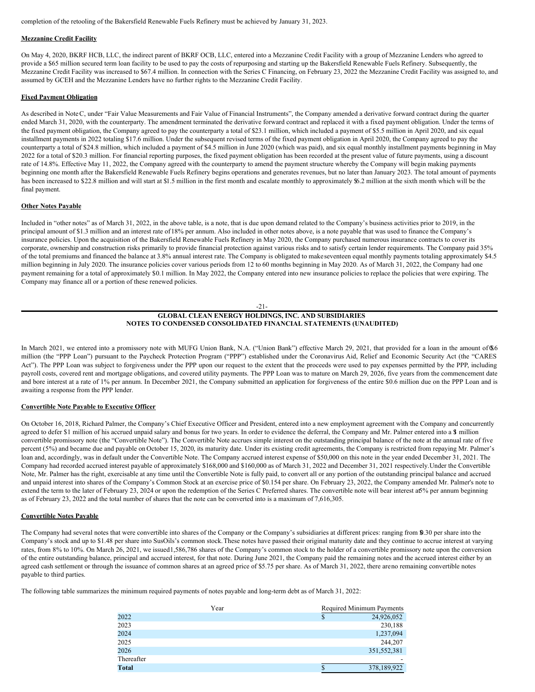completion of the retooling of the Bakersfield Renewable Fuels Refinery must be achieved by January 31, 2023.

#### **Mezzanine Credit Facility**

On May 4, 2020, BKRF HCB, LLC, the indirect parent of BKRF OCB, LLC, entered into a Mezzanine Credit Facility with a group of Mezzanine Lenders who agreed to provide a \$65 million secured term loan facility to be used to pay the costs of repurposing and starting up the Bakersfield Renewable Fuels Refinery. Subsequently, the Mezzanine Credit Facility was increased to \$67.4 million. In connection with the Series C Financing, on February 23, 2022 the Mezzanine Credit Facility was assigned to, and assumed by GCEH and the Mezzanine Lenders have no further rights to the Mezzanine Credit Facility.

# **Fixed Payment Obligation**

As described in NoteC, under "Fair Value Measurements and Fair Value of Financial Instruments", the Company amended a derivative forward contract during the quarter ended March 31, 2020, with the counterparty. The amendment terminated the derivative forward contract and replaced it with a fixed payment obligation. Under the terms of the fixed payment obligation, the Company agreed to pay the counterparty a total of \$23.1 million, which included a payment of \$5.5 million in April 2020, and six equal installment payments in 2022 totaling \$17.6 million. Under the subsequent revised terms of the fixed payment obligation in April 2020, the Company agreed to pay the counterparty a total of \$24.8 million, which included a payment of \$4.5 million in June 2020 (which was paid), and six equal monthly installment payments beginning in May 2022 for a total of \$20.3 million. For financial reporting purposes, the fixed payment obligation has been recorded at the present value of future payments, using a discount rate of 14.8%. Effective May 11, 2022, the Company agreed with the counterparty to amend the payment structure whereby the Company will begin making payments beginning one month after the Bakersfield Renewable Fuels Refinery begins operations and generates revenues, but no later than January 2023. The total amount of payments has been increased to \$22.8 million and will start at \$1.5 million in the first month and escalate monthly to approximately \$6.2 million at the sixth month which will be the final payment.

## **Other Notes Payable**

Included in "other notes" as of March 31, 2022, in the above table, is a note, that is due upon demand related to the Company's business activities prior to 2019, in the principal amount of \$1.3 million and an interest rate of18% per annum. Also included in other notes above, is a note payable that was used to finance the Company's insurance policies. Upon the acquisition of the Bakersfield Renewable Fuels Refinery in May 2020, the Company purchased numerous insurance contracts to cover its corporate, ownership and construction risks primarily to provide financial protection against various risks and to satisfy certain lender requirements. The Company paid 35% of the total premiums and financed the balance at 3.8% annual interest rate. The Company is obligated to makeseventeen equal monthly payments totaling approximately \$4.5 million beginning in July 2020. The insurance policies cover various periods from 12 to 60 months beginning in May 2020. As of March 31, 2022, the Company had one payment remaining for a total of approximately \$0.1 million. In May 2022, the Company entered into new insurance policies to replace the policies that were expiring. The Company may finance all or a portion of these renewed policies.

#### -21- **GLOBAL CLEAN ENERGY HOLDINGS, INC. AND SUBSIDIARIES NOTES TO CONDENSED CONSOLIDATED FINANCIAL STATEMENTS (UNAUDITED)**

In March 2021, we entered into a promissory note with MUFG Union Bank, N.A. ("Union Bank") effective March 29, 2021, that provided for a loan in the amount of \$6.6 million (the "PPP Loan") pursuant to the Paycheck Protection Program ("PPP") established under the Coronavirus Aid, Relief and Economic Security Act (the "CARES Act"). The PPP Loan was subject to forgiveness under the PPP upon our request to the extent that the proceeds were used to pay expenses permitted by the PPP, including payroll costs, covered rent and mortgage obligations, and covered utility payments. The PPP Loan was to mature on March 29, 2026, five years from the commencement date and bore interest at a rate of 1% per annum. In December 2021, the Company submitted an application for forgiveness of the entire \$0.6 million due on the PPP Loan and is awaiting a response from the PPP lender.

# **Convertible Note Payable to Executive Officer**

On October 16, 2018, Richard Palmer, the Company's Chief Executive Officer and President, entered into a new employment agreement with the Company and concurrently agreed to defer \$1 million of his accrued unpaid salary and bonus for two years. In order to evidence the deferral, the Company and Mr. Palmer entered into a \$ million convertible promissory note (the "Convertible Note"). The Convertible Note accrues simple interest on the outstanding principal balance of the note at the annual rate of five percent (5%) and became due and payable on October 15, 2020, its maturity date. Under its existing credit agreements, the Company is restricted from repaying Mr. Palmer's loan and, accordingly, was in default under the Convertible Note. The Company accrued interest expense of \$50,000 on this note in the year ended December 31, 2021. The Company had recorded accrued interest payable of approximately \$168,000 and \$160,000 as of March 31, 2022 and December 31, 2021 respectively.Under the Convertible Note, Mr. Palmer has the right, exercisable at any time until the Convertible Note is fully paid, to convert all or any portion of the outstanding principal balance and accrued and unpaid interest into shares of the Company's Common Stock at an exercise price of \$0.154 per share. On February 23, 2022, the Company amended Mr. Palmer's note to extend the term to the later of February 23, 2024 or upon the redemption of the Series C Preferred shares. The convertible note will bear interest at % per annum beginning as of February 23, 2022 and the total number of shares that the note can be converted into is a maximum of 7,616,305.

#### **Convertible Notes Payable**

The Company had several notes that were convertible into shares of the Company or the Company's subsidiaries at different prices: ranging from \$0.30 per share into the Company's stock and up to \$1.48 per share into SusOils's common stock. These notes have passed their original maturity date and they continue to accrue interest at varying rates, from 8% to 10%. On March 26, 2021, we issued1,586,786 shares of the Company's common stock to the holder of a convertible promissory note upon the conversion of the entire outstanding balance, principal and accrued interest, for that note. During June 2021, the Company paid the remaining notes and the accrued interest either by an agreed cash settlement or through the issuance of common shares at an agreed price of \$5.75 per share. As of March 31, 2022, there areno remaining convertible notes payable to third parties.

The following table summarizes the minimum required payments of notes payable and long-term debt as of March 31, 2022:

|              | Year | <b>Required Minimum Payments</b> |
|--------------|------|----------------------------------|
| 2022         |      | \$<br>24,926,052                 |
| 2023         |      | 230,188                          |
| 2024         |      | 1,237,094                        |
| 2025         |      | 244,207                          |
| 2026         |      | 351,552,381                      |
| Thereafter   |      |                                  |
| <b>Total</b> |      | \$<br>378,189,922                |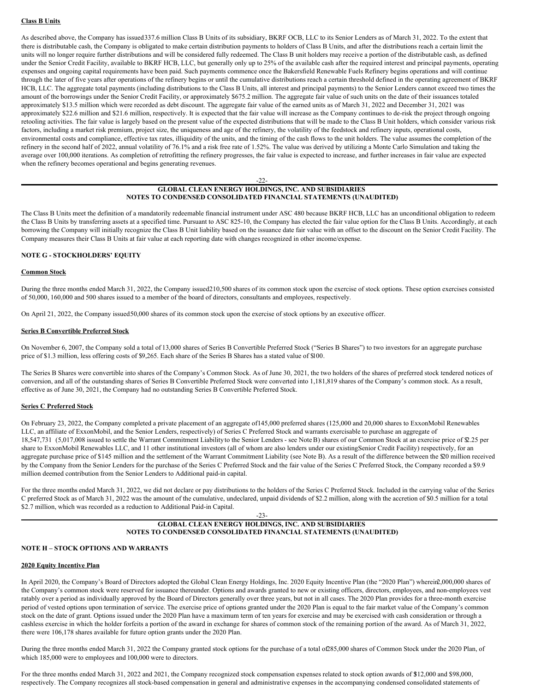### **Class B Units**

As described above, the Company has issued337.6 million Class B Units of its subsidiary, BKRF OCB, LLC to its Senior Lenders as of March 31, 2022. To the extent that there is distributable cash, the Company is obligated to make certain distribution payments to holders of Class B Units, and after the distributions reach a certain limit the units will no longer require further distributions and will be considered fully redeemed. The Class B unit holders may receive a portion of the distributable cash, as defined under the Senior Credit Facility, available to BKRF HCB, LLC, but generally only up to 25% of the available cash after the required interest and principal payments, operating expenses and ongoing capital requirements have been paid. Such payments commence once the Bakersfield Renewable Fuels Refinery begins operations and will continue through the later of five years after operations of the refinery begins or until the cumulative distributions reach a certain threshold defined in the operating agreement of BKRF HCB, LLC. The aggregate total payments (including distributions to the Class B Units, all interest and principal payments) to the Senior Lenders cannot exceed two times the amount of the borrowings under the Senior Credit Facility, or approximately \$675.2 million. The aggregate fair value of such units on the date of their issuances totaled approximately \$13.5 million which were recorded as debt discount. The aggregate fair value of the earned units as of March 31, 2022 and December 31, 2021 was approximately \$22.6 million and \$21.6 million, respectively. It is expected that the fair value will increase as the Company continues to de-risk the project through ongoing retooling activities. The fair value is largely based on the present value of the expected distributions that will be made to the Class B Unit holders, which consider various risk factors, including a market risk premium, project size, the uniqueness and age of the refinery, the volatility of the feedstock and refinery inputs, operational costs, environmental costs and compliance, effective tax rates, illiquidity of the units, and the timing of the cash flows to the unit holders. The value assumes the completion of the refinery in the second half of 2022, annual volatility of 76.1% and a risk free rate of 1.52%. The value was derived by utilizing a Monte Carlo Simulation and taking the average over 100,000 iterations. As completion of retrofitting the refinery progresses, the fair value is expected to increase, and further increases in fair value are expected when the refinery becomes operational and begins generating revenues.

#### -22- **GLOBAL CLEAN ENERGY HOLDINGS, INC. AND SUBSIDIARIES NOTES TO CONDENSED CONSOLIDATED FINANCIAL STATEMENTS (UNAUDITED)**

The Class B Units meet the definition of a mandatorily redeemable financial instrument under ASC 480 because BKRF HCB, LLC has an unconditional obligation to redeem the Class B Units by transferring assets at a specified time. Pursuant to ASC 825-10, the Company has elected the fair value option for the Class B Units. Accordingly, at each borrowing the Company will initially recognize the Class B Unit liability based on the issuance date fair value with an offset to the discount on the Senior Credit Facility. The Company measures their Class B Units at fair value at each reporting date with changes recognized in other income/expense.

#### **NOTE G - STOCKHOLDERS' EQUITY**

#### **Common Stock**

During the three months ended March 31, 2022, the Company issued210,500 shares of its common stock upon the exercise of stock options. These option exercises consisted of 50,000, 160,000 and 500 shares issued to a member of the board of directors, consultants and employees, respectively.

On April 21, 2022, the Company issued50,000 shares of its common stock upon the exercise of stock options by an executive officer.

## **Series B Convertible Preferred Stock**

On November 6, 2007, the Company sold a total of 13,000 shares of Series B Convertible Preferred Stock ("Series B Shares") to two investors for an aggregate purchase price of \$1.3 million, less offering costs of \$9,265. Each share of the Series B Shares has a stated value of \$100.

The Series B Shares were convertible into shares of the Company's Common Stock. As of June 30, 2021, the two holders of the shares of preferred stock tendered notices of conversion, and all of the outstanding shares of Series B Convertible Preferred Stock were converted into 1,181,819 shares of the Company's common stock. As a result, effective as of June 30, 2021, the Company had no outstanding Series B Convertible Preferred Stock.

#### **Series C Preferred Stock**

On February 23, 2022, the Company completed a private placement of an aggregate of145,000 preferred shares (125,000 and 20,000 shares to ExxonMobil Renewables LLC, an affiliate of ExxonMobil, and the Senior Lenders, respectively) of Series C Preferred Stock and warrants exercisable to purchase an aggregate of 18,547,731 (5,017,008 issued to settle the Warrant Commitment Liabilityto the Senior Lenders - see NoteB) shares of our Common Stock at an exercise price of \$2.25 per share to ExxonMobil Renewables LLC, and 11 other institutional investors (all of whom are also lenders under our existingSenior Credit Facility) respectively, for an aggregate purchase price of \$145 million and the settlement of the Warrant Commitment Liability (see Note B). As a result of the difference between the \$20 million received by the Company from the Senior Lenders for the purchase of the Series C Preferred Stock and the fair value of the Series C Preferred Stock, the Company recorded a \$9.9 million deemed contribution from the Senior Lenders to Additional paid-in capital.

For the three months ended March 31, 2022, we did not declare or pay distributions to the holders of the Series C Preferred Stock. Included in the carrying value of the Series C preferred Stock as of March 31, 2022 was the amount of the cumulative, undeclared, unpaid dividends of \$2.2 million, along with the accretion of \$0.5 million for a total \$2.7 million, which was recorded as a reduction to Additional Paid-in Capital.

#### -23-

# **GLOBAL CLEAN ENERGY HOLDINGS, INC. AND SUBSIDIARIES NOTES TO CONDENSED CONSOLIDATED FINANCIAL STATEMENTS (UNAUDITED)**

#### **NOTE H – STOCK OPTIONS AND WARRANTS**

#### **2020 Equity Incentive Plan**

In April 2020, the Company's Board of Directors adopted the Global Clean Energy Holdings, Inc. 2020 Equity Incentive Plan (the "2020 Plan") wherein2,000,000 shares of the Company's common stock were reserved for issuance thereunder. Options and awards granted to new or existing officers, directors, employees, and non-employees vest ratably over a period as individually approved by the Board of Directors generally over three years, but not in all cases. The 2020 Plan provides for a three-month exercise period of vested options upon termination of service. The exercise price of options granted under the 2020 Plan is equal to the fair market value of the Company's common stock on the date of grant. Options issued under the 2020 Plan have a maximum term of ten years for exercise and may be exercised with cash consideration or through a cashless exercise in which the holder forfeits a portion of the award in exchange for shares of common stock of the remaining portion of the award. As of March 31, 2022, there were 106,178 shares available for future option grants under the 2020 Plan.

During the three months ended March 31, 2022 the Company granted stock options for the purchase of a total of285,000 shares of Common Stock under the 2020 Plan, of which 185,000 were to employees and 100,000 were to directors.

For the three months ended March 31, 2022 and 2021, the Company recognized stock compensation expenses related to stock option awards of \$312,000 and \$98,000, respectively. The Company recognizes all stock-based compensation in general and administrative expenses in the accompanying condensed consolidated statements of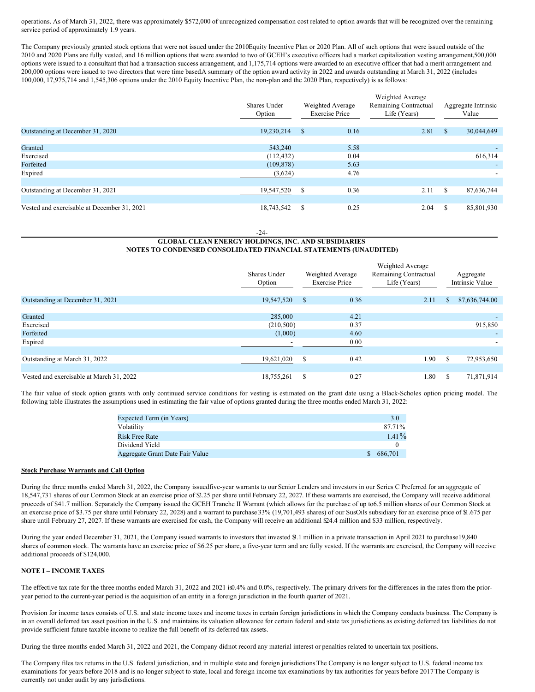operations. As of March 31, 2022, there was approximately \$572,000 of unrecognized compensation cost related to option awards that will be recognized over the remaining service period of approximately 1.9 years.

The Company previously granted stock options that were not issued under the 2010Equity Incentive Plan or 2020 Plan. All of such options that were issued outside of the 2010 and 2020 Plans are fully vested, and 16 million options that were awarded to two of GCEH's executive officers had a market capitalization vesting arrangement,500,000 options were issued to a consultant that had a transaction success arrangement, and 1,175,714 options were awarded to an executive officer that had a merit arrangement and 200,000 options were issued to two directors that were time based.A summary of the option award activity in 2022 and awards outstanding at March 31, 2022 (includes 100,000, 17,975,714 and 1,545,306 options under the 2010 Equity Incentive Plan, the non-plan and the 2020 Plan, respectively) is as follows:

|                                             | <b>Shares Under</b><br>Option |    | Weighted Average<br>Remaining Contractual<br>Weighted Average<br><b>Exercise Price</b><br>Life (Years) |      |   |            |  | Aggregate Intrinsic<br>Value |
|---------------------------------------------|-------------------------------|----|--------------------------------------------------------------------------------------------------------|------|---|------------|--|------------------------------|
| Outstanding at December 31, 2020            | 19,230,214                    | -S | 0.16                                                                                                   | 2.81 | S | 30,044,649 |  |                              |
| Granted                                     | 543,240                       |    | 5.58                                                                                                   |      |   |            |  |                              |
| Exercised                                   | (112, 432)                    |    | 0.04                                                                                                   |      |   | 616,314    |  |                              |
| Forfeited                                   | (109, 878)                    |    | 5.63                                                                                                   |      |   |            |  |                              |
| Expired                                     | (3,624)                       |    | 4.76                                                                                                   |      |   |            |  |                              |
|                                             |                               |    |                                                                                                        |      |   |            |  |                              |
| Outstanding at December 31, 2021            | 19,547,520                    | S  | 0.36                                                                                                   | 2.11 | S | 87,636,744 |  |                              |
|                                             |                               |    |                                                                                                        |      |   |            |  |                              |
| Vested and exercisable at December 31, 2021 | 18,743,542                    | -S | 0.25                                                                                                   | 2.04 | S | 85,801,930 |  |                              |

#### -24- **GLOBAL CLEAN ENERGY HOLDINGS, INC. AND SUBSIDIARIES NOTES TO CONDENSED CONSOLIDATED FINANCIAL STATEMENTS (UNAUDITED)**

|                                          | Shares Under<br>Option | Weighted Average<br><b>Exercise Price</b> |      | Weighted Average<br>Remaining Contractual<br>Life (Years) |    |               | Aggregate<br><b>Intrinsic Value</b> |
|------------------------------------------|------------------------|-------------------------------------------|------|-----------------------------------------------------------|----|---------------|-------------------------------------|
| Outstanding at December 31, 2021         | 19,547,520             | $\mathbb{S}$                              | 0.36 | 2.11                                                      | \$ | 87,636,744.00 |                                     |
|                                          |                        |                                           |      |                                                           |    |               |                                     |
| Granted                                  | 285,000                |                                           | 4.21 |                                                           |    |               |                                     |
| Exercised                                | (210,500)              |                                           | 0.37 |                                                           |    | 915,850       |                                     |
| Forfeited                                | (1,000)                |                                           | 4.60 |                                                           |    |               |                                     |
| Expired                                  |                        |                                           | 0.00 |                                                           |    |               |                                     |
|                                          |                        |                                           |      |                                                           |    |               |                                     |
| Outstanding at March 31, 2022            | 19,621,020             | <sup>S</sup>                              | 0.42 | 1.90                                                      | \$ | 72,953,650    |                                     |
|                                          |                        |                                           |      |                                                           |    |               |                                     |
| Vested and exercisable at March 31, 2022 | 18,755,261             | S                                         | 0.27 | 1.80                                                      | S. | 71,871,914    |                                     |

The fair value of stock option grants with only continued service conditions for vesting is estimated on the grant date using a Black-Scholes option pricing model. The following table illustrates the assumptions used in estimating the fair value of options granted during the three months ended March 31, 2022:

| 3.0      |
|----------|
| 87.71%   |
| $1.41\%$ |
|          |
| 686,701  |
|          |

#### **Stock Purchase Warrants and Call Option**

During the three months ended March 31, 2022, the Company issuedfive-year warrants to our Senior Lenders and investors in our Series C Preferred for an aggregate of 18,547,731 shares of our Common Stock at an exercise price of \$2.25 per share until February 22, 2027. If these warrants are exercised, the Company will receive additional proceeds of \$41.7 million. Separately the Company issued the GCEH Tranche II Warrant (which allows for the purchase of up to6.5 million shares of our Common Stock at an exercise price of \$3.75 per share until February 22, 2028) and a warrant to purchase 33% (19,701,493 shares) of our SusOils subsidiary for an exercise price of \$1.675 per share until February 27, 2027. If these warrants are exercised for cash, the Company will receive an additional \$24.4 million and \$33 million, respectively.

During the year ended December 31, 2021, the Company issued warrants to investors that invested \$3.1 million in a private transaction in April 2021 to purchase19,840 shares of common stock. The warrants have an exercise price of \$6.25 per share, a five-year term and are fully vested. If the warrants are exercised, the Company will receive additional proceeds of \$124,000.

# **NOTE I – INCOME TAXES**

The effective tax rate for the three months ended March 31, 2022 and 2021 is0.4% and 0.0%, respectively. The primary drivers for the differences in the rates from the prioryear period to the current-year period is the acquisition of an entity in a foreign jurisdiction in the fourth quarter of 2021.

Provision for income taxes consists of U.S. and state income taxes and income taxes in certain foreign jurisdictions in which the Company conducts business. The Company is in an overall deferred tax asset position in the U.S. and maintains its valuation allowance for certain federal and state tax jurisdictions as existing deferred tax liabilities do not provide sufficient future taxable income to realize the full benefit of its deferred tax assets.

During the three months ended March 31, 2022 and 2021, the Company didnot record any material interest or penalties related to uncertain tax positions.

The Company files tax returns in the U.S. federal jurisdiction, and in multiple state and foreign jurisdictions.The Company is no longer subject to U.S. federal income tax examinations for years before 2018 and is no longer subject to state, local and foreign income tax examinations by tax authorities for years before 2017 The Company is currently not under audit by any jurisdictions.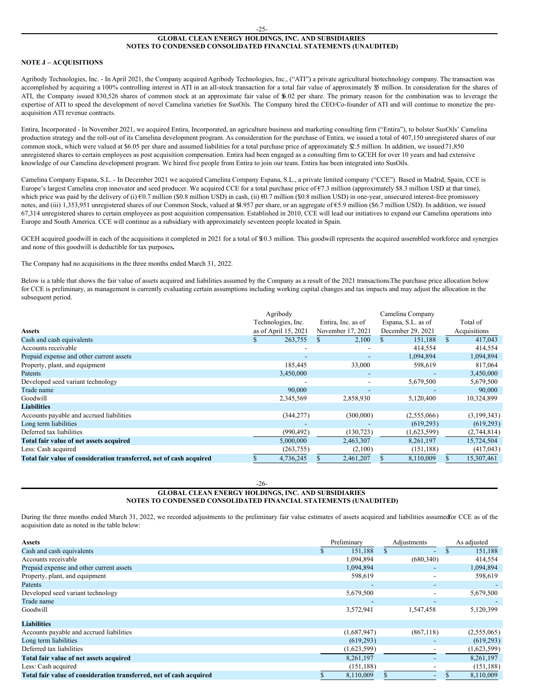# **GLOBAL CLEAN ENERGY HOLDINGS, INC. AND SUBSIDIARIES NOTES TO CONDENSED CONSOLIDATED FINANCIAL STATEMENTS (UNAUDITED)**

# **NOTE J – ACQUISITIONS**

Agribody Technologies, Inc. - In April 2021, the Company acquired Agribody Technologies, Inc., ("ATI") a private agricultural biotechnology company. The transaction was accomplished by acquiring a 100% controlling interest in ATI in an all-stock transaction for a total fair value of approximately \$5 million. In consideration for the shares of ATI, the Company issued 830,526 shares of common stock at an approximate fair value of \$.02 per share. The primary reason for the combination was to leverage the expertise of ATI to speed the development of novel Camelina varieties for SusOils. The Company hired the CEO/Co-founder of ATI and will continue to monetize the preacquisition ATI revenue contracts.

Entira, Incorporated - In November 2021, we acquired Entira, Incorporated, an agriculture business and marketing consulting firm ("Entira"), to bolster SusOils' Camelina production strategy and the roll-out of its Camelina development program. As consideration for the purchase of Entira, we issued a total of 407,150 unregistered shares of our common stock, which were valued at \$6.05 per share and assumed liabilities for a total purchase price of approximately \$2.5 million. In addition, we issued 71,850 unregistered shares to certain employees as post acquisition compensation. Entira had been engaged as a consulting firm to GCEH for over 10 years and had extensive knowledge of our Camelina development program. We hired five people from Entira to join our team. Entira has been integrated into SusOils.

Camelina Company Espana, S.L. - In December 2021 we acquired Camelina Company Espana, S.L., a private limited company ("CCE"). Based in Madrid, Spain, CCE is Europe's largest Camelina crop innovator and seed producer. We acquired CCE for a total purchase price of €7.3 million (approximately \$8.3 million USD at that time), which price was paid by the delivery of (i)  $\epsilon$ 0.7 million (\$0.8 million USD) in cash, (ii)  $\epsilon$ 0.7 million (\$0.8 million USD) in one-year, unsecured interest-free promissory notes, and (iii) 1,353,951 unregistered shares of our Common Stock, valued at \$4.957 per share, or an aggregate of €5.9 million (\$6.7 million USD). In addition, we issued 67,314 unregistered shares to certain employees as post acquisition compensation. Established in 2010, CCE will lead our initiatives to expand our Camelina operations into Europe and South America. CCE will continue as a subsidiary with approximately seventeen people located in Spain.

GCEH acquired goodwill in each of the acquisitions it completed in 2021 for a total of \$10.3 million. This goodwill represents the acquired assembled workforce and synergies and none of this goodwill is deductible for tax purposes**.**

The Company had no acquisitions in the three months ended March 31, 2022.

Below is a table that shows the fair value of assets acquired and liabilities assumed by the Company as a result of the 2021 transactions.The purchase price allocation below for CCE is preliminary, as management is currently evaluating certain assumptions including working capital changes and tax impacts and may adjust the allocation in the subsequent period.

|                                                                     | Agribody                 |                          | Camelina Company   |              |
|---------------------------------------------------------------------|--------------------------|--------------------------|--------------------|--------------|
|                                                                     | Technologies, Inc.       | Entira, Inc. as of       | Espana, S.L. as of | Total of     |
| <b>Assets</b>                                                       | as of April 15, 2021     | November 17, 2021        | December 29, 2021  | Acquisitions |
| Cash and cash equivalents                                           | 263,755<br>\$.           | 2,100                    | 151,188            | 417,043      |
| Accounts receivable                                                 |                          |                          | 414,554            | 414,554      |
| Prepaid expense and other current assets                            | $\overline{\phantom{a}}$ |                          | 1,094,894          | 1,094,894    |
| Property, plant, and equipment                                      | 185,445                  | 33,000                   | 598,619            | 817,064      |
| Patents                                                             | 3,450,000                | $\overline{\phantom{a}}$ |                    | 3,450,000    |
| Developed seed variant technology                                   |                          |                          | 5,679,500          | 5,679,500    |
| Trade name                                                          | 90,000                   | $\overline{\phantom{a}}$ |                    | 90,000       |
| Goodwill                                                            | 2,345,569                | 2,858,930                | 5,120,400          | 10,324,899   |
| <b>Liabilities</b>                                                  |                          |                          |                    |              |
| Accounts payable and accrued liabilities                            | (344, 277)               | (300,000)                | (2,555,066)        | (3,199,343)  |
| Long term liabilities                                               |                          |                          | (619,293)          | (619, 293)   |
| Deferred tax liabilities                                            | (990, 492)               | (130, 723)               | (1,623,599)        | (2,744,814)  |
| Total fair value of net assets acquired                             | 5,000,000                | 2,463,307                | 8,261,197          | 15,724,504   |
| Less: Cash acquired                                                 | (263, 755)               | (2,100)                  | (151, 188)         | (417, 043)   |
| Total fair value of consideration transferred, net of cash acquired | 4,736,245                | 2,461,207                | 8,110,009          | 15,307,461   |

# **GLOBAL CLEAN ENERGY HOLDINGS, INC. AND SUBSIDIARIES NOTES TO CONDENSED CONSOLIDATED FINANCIAL STATEMENTS (UNAUDITED)**

During the three months ended March 31, 2022, we recorded adjustments to the preliminary fair value estimates of assets acquired and liabilities assumedfor CCE as of the acquisition date as noted in the table below:

| Assets                                                              | Preliminary | Adjustments              |   | As adjusted |
|---------------------------------------------------------------------|-------------|--------------------------|---|-------------|
| Cash and cash equivalents                                           | 151,188     | $\overline{\phantom{a}}$ | ъ | 151,188     |
| Accounts receivable                                                 | 1,094,894   | (680, 340)               |   | 414,554     |
| Prepaid expense and other current assets                            | 1,094,894   | $\overline{\phantom{0}}$ |   | 1,094,894   |
| Property, plant, and equipment                                      | 598,619     | $\overline{\phantom{a}}$ |   | 598,619     |
| Patents                                                             |             | $\overline{\phantom{a}}$ |   |             |
| Developed seed variant technology                                   | 5,679,500   | $\overline{\phantom{a}}$ |   | 5,679,500   |
| Trade name                                                          |             | $\overline{\phantom{m}}$ |   |             |
| Goodwill                                                            | 3,572,941   | 1,547,458                |   | 5,120,399   |
| <b>Liabilities</b>                                                  |             |                          |   |             |
| Accounts payable and accrued liabilities                            | (1,687,947) | (867,118)                |   | (2,555,065) |
| Long term liabilities                                               | (619,293)   | $\overline{\phantom{a}}$ |   | (619, 293)  |
| Deferred tax liabilities                                            | (1,623,599) |                          |   | (1,623,599) |
| Total fair value of net assets acquired                             | 8,261,197   |                          |   | 8,261,197   |
| Less: Cash acquired                                                 | (151, 188)  |                          |   | (151, 188)  |
| Total fair value of consideration transferred, net of cash acquired | 8,110,009   |                          | Ф | 8,110,009   |

-26-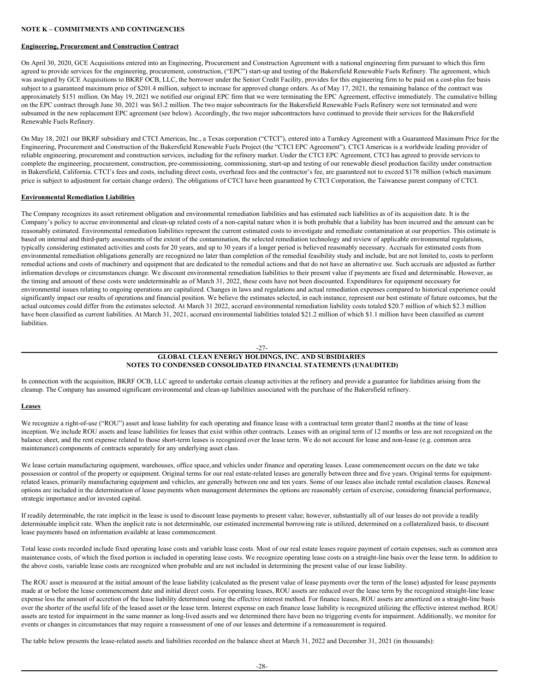# **NOTE K – COMMITMENTS AND CONTINGENCIES**

# **Engineering, Procurement and Construction Contract**

On April 30, 2020, GCE Acquisitions entered into an Engineering, Procurement and Construction Agreement with a national engineering firm pursuant to which this firm agreed to provide services for the engineering, procurement, construction, ("EPC") start-up and testing of the Bakersfield Renewable Fuels Refinery. The agreement, which was assigned by GCE Acquisitions to BKRF OCB, LLC, the borrower under the Senior Credit Facility, provides for this engineering firm to be paid on a cost-plus fee basis subject to a guaranteed maximum price of \$201.4 million, subject to increase for approved change orders. As of May 17, 2021, the remaining balance of the contract was approximately \$151 million. On May 19, 2021 we notified our original EPC firm that we were terminating the EPC Agreement, effective immediately. The cumulative billing on the EPC contract through June 30, 2021 was \$63.2 million. The two major subcontracts for the Bakersfield Renewable Fuels Refinery were not terminated and were subsumed in the new replacement EPC agreement (see below). Accordingly, the two major subcontractors have continued to provide their services for the Bakersfield Renewable Fuels Refinery.

On May 18, 2021 our BKRF subsidiary and CTCI Americas, Inc., a Texas corporation ("CTCI"), entered into a Turnkey Agreement with a Guaranteed Maximum Price for the Engineering, Procurement and Construction of the Bakersfield Renewable Fuels Project (the "CTCI EPC Agreement"). CTCI Americas is a worldwide leading provider of reliable engineering, procurement and construction services, including for the refinery market. Under the CTCI EPC Agreement, CTCI has agreed to provide services to complete the engineering, procurement, construction, pre-commissioning, commissioning, start-up and testing of our renewable diesel production facility under construction in Bakersfield, California. CTCI's fees and costs, including direct costs, overhead fees and the contractor's fee, are guaranteed not to exceed \$178 million (which maximum price is subject to adjustment for certain change orders). The obligations of CTCI have been guaranteed by CTCI Corporation, the Taiwanese parent company of CTCI.

# **Environmental Remediation Liabilities**

The Company recognizes its asset retirement obligation and environmental remediation liabilities and has estimated such liabilities as of its acquisition date. It is the Company's policy to accrue environmental and clean-up related costs of a non-capital nature when it is both probable that a liability has been incurred and the amount can be reasonably estimated. Environmental remediation liabilities represent the current estimated costs to investigate and remediate contamination at our properties. This estimate is based on internal and third-party assessments of the extent of the contamination, the selected remediation technology and review of applicable environmental regulations, typically considering estimated activities and costs for 20 years, and up to 30 years if a longer period is believed reasonably necessary. Accruals for estimated costs from environmental remediation obligations generally are recognized no later than completion of the remedial feasibility study and include, but are not limited to, costs to perform remedial actions and costs of machinery and equipment that are dedicated to the remedial actions and that do not have an alternative use. Such accruals are adjusted as further information develops or circumstances change. We discount environmental remediation liabilities to their present value if payments are fixed and determinable. However, as the timing and amount of these costs were undeterminable as of March 31, 2022, these costs have not been discounted. Expenditures for equipment necessary for environmental issues relating to ongoing operations are capitalized. Changes in laws and regulations and actual remediation expenses compared to historical experience could significantly impact our results of operations and financial position. We believe the estimates selected, in each instance, represent our best estimate of future outcomes, but the actual outcomes could differ from the estimates selected. At March 31 2022, accrued environmental remediation liability costs totaled \$20.7 million of which \$2.3 million have been classified as current liabilities. At March 31, 2021, accrued environmental liabilities totaled \$21.2 million of which \$1.1 million have been classified as current liabilities.

#### -27- **GLOBAL CLEAN ENERGY HOLDINGS, INC. AND SUBSIDIARIES NOTES TO CONDENSED CONSOLIDATED FINANCIAL STATEMENTS (UNAUDITED)**

In connection with the acquisition, BKRF OCB, LLC agreed to undertake certain cleanup activities at the refinery and provide a guarantee for liabilities arising from the cleanup. The Company has assumed significant environmental and clean-up liabilities associated with the purchase of the Bakersfield refinery.

#### **Leases**

We recognize a right-of-use ("ROU") asset and lease liability for each operating and finance lease with a contractual term greater than12 months at the time of lease inception. We include ROU assets and lease liabilities for leases that exist within other contracts. Leases with an original term of 12 months or less are not recognized on the balance sheet, and the rent expense related to those short-term leases is recognized over the lease term. We do not account for lease and non-lease (e.g. common area maintenance) components of contracts separately for any underlying asset class.

We lease certain manufacturing equipment, warehouses, office space,and vehicles under finance and operating leases. Lease commencement occurs on the date we take possession or control of the property or equipment. Original terms for our real estate-related leases are generally between three and five years. Original terms for equipmentrelated leases, primarily manufacturing equipment and vehicles, are generally between one and ten years. Some of our leases also include rental escalation clauses. Renewal options are included in the determination of lease payments when management determines the options are reasonably certain of exercise, considering financial performance, strategic importance and/or invested capital.

If readily determinable, the rate implicit in the lease is used to discount lease payments to present value; however, substantially all of our leases do not provide a readily determinable implicit rate. When the implicit rate is not determinable, our estimated incremental borrowing rate is utilized, determined on a collateralized basis, to discount lease payments based on information available at lease commencement.

Total lease costs recorded include fixed operating lease costs and variable lease costs. Most of our real estate leases require payment of certain expenses, such as common area maintenance costs, of which the fixed portion is included in operating lease costs. We recognize operating lease costs on a straight-line basis over the lease term. In addition to the above costs, variable lease costs are recognized when probable and are not included in determining the present value of our lease liability.

The ROU asset is measured at the initial amount of the lease liability (calculated as the present value of lease payments over the term of the lease) adjusted for lease payments made at or before the lease commencement date and initial direct costs. For operating leases, ROU assets are reduced over the lease term by the recognized straight-line lease expense less the amount of accretion of the lease liability determined using the effective interest method. For finance leases, ROU assets are amortized on a straight-line basis over the shorter of the useful life of the leased asset or the lease term. Interest expense on each finance lease liability is recognized utilizing the effective interest method. ROU assets are tested for impairment in the same manner as long-lived assets and we determined there have been no triggering events for impairment. Additionally, we monitor for events or changes in circumstances that may require a reassessment of one of our leases and determine if a remeasurement is required.

The table below presents the lease-related assets and liabilities recorded on the balance sheet at March 31, 2022 and December 31, 2021 (in thousands):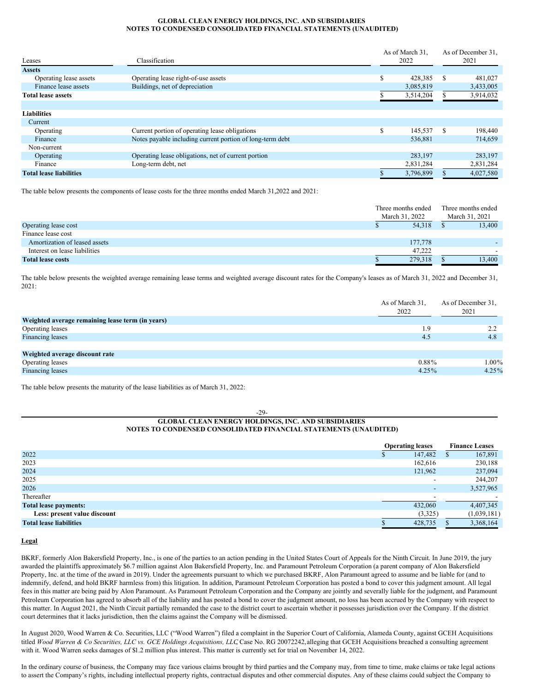# **GLOBAL CLEAN ENERGY HOLDINGS, INC. AND SUBSIDIARIES NOTES TO CONDENSED CONSOLIDATED FINANCIAL STATEMENTS (UNAUDITED)**

|                                |                                                           |    | As of March 31, |              | As of December 31. |  |      |
|--------------------------------|-----------------------------------------------------------|----|-----------------|--------------|--------------------|--|------|
| Leases                         | Classification                                            |    | 2022            |              |                    |  | 2021 |
| <b>Assets</b>                  |                                                           |    |                 |              |                    |  |      |
| Operating lease assets         | Operating lease right-of-use assets                       | \$ | 428.385         | -S           | 481,027            |  |      |
| Finance lease assets           | Buildings, net of depreciation                            |    | 3,085,819       |              | 3,433,005          |  |      |
| <b>Total lease assets</b>      |                                                           |    | 3,514,204       |              | 3,914,032          |  |      |
|                                |                                                           |    |                 |              |                    |  |      |
| <b>Liabilities</b>             |                                                           |    |                 |              |                    |  |      |
| Current                        |                                                           |    |                 |              |                    |  |      |
| Operating                      | Current portion of operating lease obligations            | Ŝ  | 145.537         | <sup>S</sup> | 198,440            |  |      |
| Finance                        | Notes payable including current portion of long-term debt |    | 536,881         |              | 714,659            |  |      |
| Non-current                    |                                                           |    |                 |              |                    |  |      |
| Operating                      | Operating lease obligations, net of current portion       |    | 283,197         |              | 283,197            |  |      |
| Finance                        | Long-term debt, net                                       |    | 2,831,284       |              | 2,831,284          |  |      |
| <b>Total lease liabilities</b> |                                                           |    | 3,796,899       |              | 4,027,580          |  |      |

The table below presents the components of lease costs for the three months ended March 31,2022 and 2021:

|                               |  | Three months ended<br>March 31, 2022 |  | Three months ended |
|-------------------------------|--|--------------------------------------|--|--------------------|
|                               |  |                                      |  | March 31, 2021     |
| Operating lease cost          |  | 54,318                               |  | 13,400             |
| Finance lease cost            |  |                                      |  |                    |
| Amortization of leased assets |  | 177,778                              |  |                    |
| Interest on lease liabilities |  | 47.222                               |  | -                  |
| <b>Total lease costs</b>      |  | 279,318                              |  | 13,400             |

The table below presents the weighted average remaining lease terms and weighted average discount rates for the Company's leases as of March 31, 2022 and December 31, 2021:

|                                                  | As of March 31,<br>2022 | As of December 31,<br>2021 |
|--------------------------------------------------|-------------------------|----------------------------|
| Weighted average remaining lease term (in years) |                         |                            |
| Operating leases                                 | 1.9                     | 2.2                        |
| Financing leases                                 | 4.5                     | 4.8                        |
|                                                  |                         |                            |
| Weighted average discount rate                   |                         |                            |
| Operating leases                                 | $0.88\%$                | $1.00\%$                   |
| Financing leases                                 | $4.25\%$                | $4.25\%$                   |

The table below presents the maturity of the lease liabilities as of March 31, 2022:

### -29- **GLOBAL CLEAN ENERGY HOLDINGS, INC. AND SUBSIDIARIES NOTES TO CONDENSED CONSOLIDATED FINANCIAL STATEMENTS (UNAUDITED)**

|                                |    | <b>Operating leases</b>  |   | <b>Finance Leases</b> |
|--------------------------------|----|--------------------------|---|-----------------------|
| 2022                           | ۰D | 147,482                  | ъ | 167,891               |
| 2023                           |    | 162,616                  |   | 230,188               |
| 2024                           |    | 121,962                  |   | 237,094               |
| 2025                           |    | $\overline{\phantom{0}}$ |   | 244,207               |
| 2026                           |    | $\overline{\phantom{a}}$ |   | 3,527,965             |
| Thereafter                     |    |                          |   |                       |
| <b>Total lease payments:</b>   |    | 432,060                  |   | 4,407,345             |
| Less: present value discount   |    | (3,325)                  |   | (1,039,181)           |
| <b>Total lease liabilities</b> |    | 428,735                  |   | 3,368,164             |

### **Legal**

BKRF, formerly Alon Bakersfield Property, Inc., is one of the parties to an action pending in the United States Court of Appeals for the Ninth Circuit. In June 2019, the jury awarded the plaintiffs approximately \$6.7 million against Alon Bakersfield Property, Inc. and Paramount Petroleum Corporation (a parent company of Alon Bakersfield Property, Inc. at the time of the award in 2019). Under the agreements pursuant to which we purchased BKRF, Alon Paramount agreed to assume and be liable for (and to indemnify, defend, and hold BKRF harmless from) this litigation. In addition, Paramount Petroleum Corporation has posted a bond to cover this judgment amount. All legal fees in this matter are being paid by Alon Paramount. As Paramount Petroleum Corporation and the Company are jointly and severally liable for the judgment, and Paramount Petroleum Corporation has agreed to absorb all of the liability and has posted a bond to cover the judgment amount, no loss has been accrued by the Company with respect to this matter. In August 2021, the Ninth Circuit partially remanded the case to the district court to ascertain whether it possesses jurisdiction over the Company. If the district court determines that it lacks jurisdiction, then the claims against the Company will be dismissed.

In August 2020, Wood Warren & Co. Securities, LLC ("Wood Warren") filed a complaint in the Superior Court of California, Alameda County, against GCEH Acquisitions titled Wood Warren & Co Securities, LLC vs. GCE Holdings Acquisitions, LLC Case No. RG 20072242, alleging that GCEH Acquisitions breached a consulting agreement with it. Wood Warren seeks damages of \$1.2 million plus interest. This matter is currently set for trial on November 14, 2022.

In the ordinary course of business, the Company may face various claims brought by third parties and the Company may, from time to time, make claims or take legal actions to assert the Company's rights, including intellectual property rights, contractual disputes and other commercial disputes. Any of these claims could subject the Company to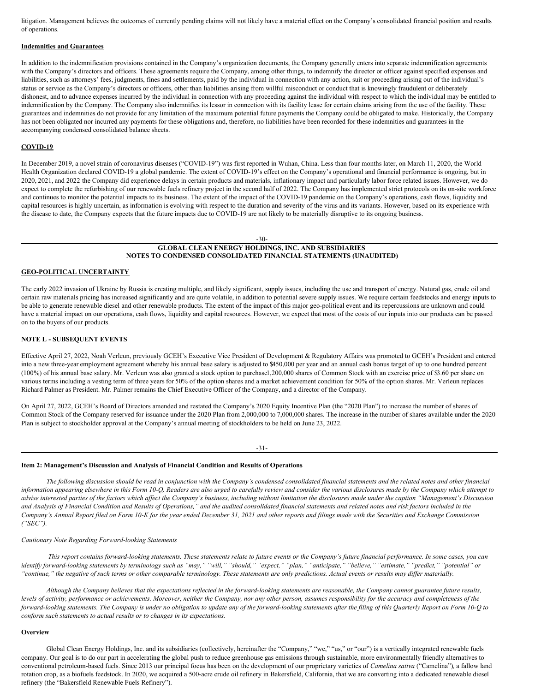litigation. Management believes the outcomes of currently pending claims will not likely have a material effect on the Company's consolidated financial position and results of operations.

#### **Indemnities and Guarantees**

In addition to the indemnification provisions contained in the Company's organization documents, the Company generally enters into separate indemnification agreements with the Company's directors and officers. These agreements require the Company, among other things, to indemnify the director or officer against specified expenses and liabilities, such as attorneys' fees, judgments, fines and settlements, paid by the individual in connection with any action, suit or proceeding arising out of the individual's status or service as the Company's directors or officers, other than liabilities arising from willful misconduct or conduct that is knowingly fraudulent or deliberately dishonest, and to advance expenses incurred by the individual in connection with any proceeding against the individual with respect to which the individual may be entitled to indemnification by the Company. The Company also indemnifies its lessor in connection with its facility lease for certain claims arising from the use of the facility. These guarantees and indemnities do not provide for any limitation of the maximum potential future payments the Company could be obligated to make. Historically, the Company has not been obligated nor incurred any payments for these obligations and, therefore, no liabilities have been recorded for these indemnities and guarantees in the accompanying condensed consolidated balance sheets.

#### **COVID-19**

In December 2019, a novel strain of coronavirus diseases ("COVID-19") was first reported in Wuhan, China. Less than four months later, on March 11, 2020, the World Health Organization declared COVID-19 a global pandemic. The extent of COVID-19's effect on the Company's operational and financial performance is ongoing, but in 2020, 2021, and 2022 the Company did experience delays in certain products and materials, inflationary impact and particularly labor force related issues. However, we do expect to complete the refurbishing of our renewable fuels refinery project in the second half of 2022. The Company has implemented strict protocols on its on-site workforce and continues to monitor the potential impacts to its business. The extent of the impact of the COVID-19 pandemic on the Company's operations, cash flows, liquidity and capital resources is highly uncertain, as information is evolving with respect to the duration and severity of the virus and its variants. However, based on its experience with the disease to date, the Company expects that the future impacts due to COVID-19 are not likely to be materially disruptive to its ongoing business.

 $-30-$ 

# **GLOBAL CLEAN ENERGY HOLDINGS, INC. AND SUBSIDIARIES NOTES TO CONDENSED CONSOLIDATED FINANCIAL STATEMENTS (UNAUDITED)**

## **GEO-POLITICAL UNCERTAINTY**

The early 2022 invasion of Ukraine by Russia is creating multiple, and likely significant, supply issues, including the use and transport of energy. Natural gas, crude oil and certain raw materials pricing has increased significantly and are quite volatile, in addition to potential severe supply issues. We require certain feedstocks and energy inputs to be able to generate renewable diesel and other renewable products. The extent of the impact of this major geo-political event and its repercussions are unknown and could have a material impact on our operations, cash flows, liquidity and capital resources. However, we expect that most of the costs of our inputs into our products can be passed on to the buyers of our products.

#### **NOTE L - SUBSEQUENT EVENTS**

Effective April 27, 2022, Noah Verleun, previously GCEH's Executive Vice President of Development & Regulatory Affairs was promoted to GCEH's President and entered into a new three-year employment agreement whereby his annual base salary is adjusted to \$450,000 per year and an annual cash bonus target of up to one hundred percent (100%) of his annual base salary. Mr. Verleun was also granted a stock option to purchase1,200,000 shares of Common Stock with an exercise price of \$3.60 per share on various terms including a vesting term of three years for 50% of the option shares and a market achievement condition for 50% of the option shares. Mr. Verleun replaces Richard Palmer as President. Mr. Palmer remains the Chief Executive Officer of the Company, and a director of the Company.

On April 27, 2022, GCEH's Board of Directors amended and restated the Company's 2020 Equity Incentive Plan (the "2020 Plan") to increase the number of shares of Common Stock of the Company reserved for issuance under the 2020 Plan from 2,000,000 to 7,000,000 shares. The increase in the number of shares available under the 2020 Plan is subject to stockholder approval at the Company's annual meeting of stockholders to be held on June 23, 2022.

#### -31-

#### <span id="page-18-0"></span>**Item 2: Management's Discussion and Analysis of Financial Condition and Results of Operations**

The following discussion should be read in conjunction with the Company's condensed consolidated financial statements and the related notes and other financial information appearing elsewhere in this Form 10-Q. Readers are also urged to carefully review and consider the various disclosures made by the Company which attempt to advise interested parties of the factors which affect the Company's business, including without limitation the disclosures made under the caption "Management's Discussion and Analysis of Financial Condition and Results of Operations," and the audited consolidated financial statements and related notes and risk factors included in the Company's Annual Report filed on Form 10-K for the year ended December 31, 2021 and other reports and filings made with the Securities and Exchange Commission *("SEC").*

#### *Cautionary Note Regarding Forward-looking Statements*

This report contains forward-looking statements. These statements relate to future events or the Company's future financial performance. In some cases, you can identify forward-looking statements by terminology such as "may," "will," "should," "expect," "plan," "anticipate," "believe," "estimate," "predict," "potential" or "continue," the negative of such terms or other comparable terminology. These statements are only predictions. Actual events or results may differ materially.

Although the Company believes that the expectations reflected in the forward-looking statements are reasonable, the Company cannot guarantee future results, levels of activity, performance or achievements. Moreover, neither the Company, nor any other person, assumes responsibility for the accuracy and completeness of the forward-looking statements. The Company is under no obligation to update any of the forward-looking statements after the filing of this Quarterly Report on Form 10-Q to *conform such statements to actual results or to changes in its expectations.*

#### **Overview**

Global Clean Energy Holdings, Inc. and its subsidiaries (collectively, hereinafter the "Company," "we," "us," or "our") is a vertically integrated renewable fuels company. Our goal is to do our part in accelerating the global push to reduce greenhouse gas emissions through sustainable, more environmentally friendly alternatives to conventional petroleum-based fuels. Since 2013 our principal focus has been on the development of our proprietary varieties of *Camelina sativa* ("Camelina")*,* a fallow land rotation crop, as a biofuels feedstock. In 2020, we acquired a 500-acre crude oil refinery in Bakersfield, California, that we are converting into a dedicated renewable diesel refinery (the "Bakersfield Renewable Fuels Refinery").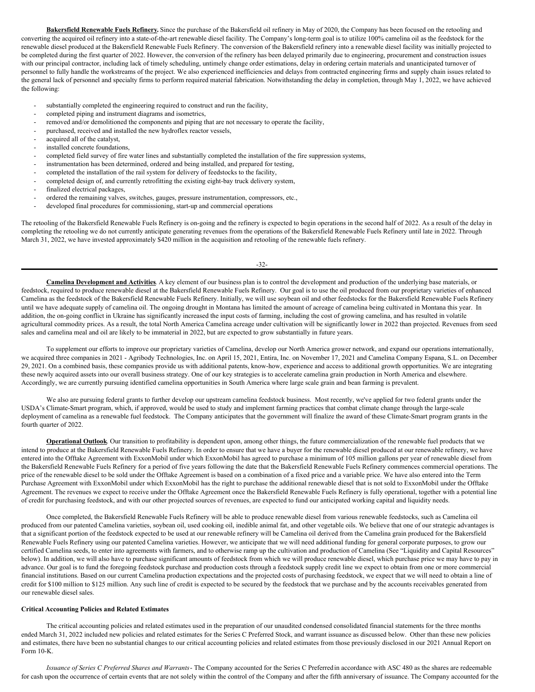**Bakersfield Renewable Fuels Refinery.** Since the purchase of the Bakersfield oil refinery in May of 2020, the Company has been focused on the retooling and converting the acquired oil refinery into a state-of-the-art renewable diesel facility. The Company's long-term goal is to utilize 100% camelina oil as the feedstock for the renewable diesel produced at the Bakersfield Renewable Fuels Refinery. The conversion of the Bakersfield refinery into a renewable diesel facility was initially projected to be completed during the first quarter of 2022. However, the conversion of the refinery has been delayed primarily due to engineering, procurement and construction issues with our principal contractor, including lack of timely scheduling, untimely change order estimations, delay in ordering certain materials and unanticipated turnover of personnel to fully handle the workstreams of the project. We also experienced inefficiencies and delays from contracted engineering firms and supply chain issues related to the general lack of personnel and specialty firms to perform required material fabrication. Notwithstanding the delay in completion, through May 1, 2022, we have achieved the following:

- substantially completed the engineering required to construct and run the facility,
- completed piping and instrument diagrams and isometrics,
- removed and/or demolitioned the components and piping that are not necessary to operate the facility,
- purchased, received and installed the new hydroflex reactor vessels,
- acquired all of the catalyst,
- installed concrete foundations,
- completed field survey of fire water lines and substantially completed the installation of the fire suppression systems,
- instrumentation has been determined, ordered and being installed, and prepared for testing,
- completed the installation of the rail system for delivery of feedstocks to the facility,
- completed design of, and currently retrofitting the existing eight-bay truck delivery system,
- finalized electrical packages,
- ordered the remaining valves, switches, gauges, pressure instrumentation, compressors, etc.,
- developed final procedures for commissioning, start-up and commercial operations

The retooling of the Bakersfield Renewable Fuels Refinery is on-going and the refinery is expected to begin operations in the second half of 2022. As a result of the delay in completing the retooling we do not currently anticipate generating revenues from the operations of the Bakersfield Renewable Fuels Refinery until late in 2022. Through March 31, 2022, we have invested approximately \$420 million in the acquisition and retooling of the renewable fuels refinery.

#### -32-

**Camelina Development and Activities**. A key element of our business plan is to control the development and production of the underlying base materials, or feedstock, required to produce renewable diesel at the Bakersfield Renewable Fuels Refinery. Our goal is to use the oil produced from our proprietary varieties of enhanced Camelina as the feedstock of the Bakersfield Renewable Fuels Refinery. Initially, we will use soybean oil and other feedstocks for the Bakersfield Renewable Fuels Refinery until we have adequate supply of camelina oil. The ongoing drought in Montana has limited the amount of acreage of camelina being cultivated in Montana this year. In addition, the on-going conflict in Ukraine has significantly increased the input costs of farming, including the cost of growing camelina, and has resulted in volatile agricultural commodity prices. As a result, the total North America Camelina acreage under cultivation will be significantly lower in 2022 than projected. Revenues from seed sales and camelina meal and oil are likely to be immaterial in 2022, but are expected to grow substantially in future years.

To supplement our efforts to improve our proprietary varieties of Camelina, develop our North America grower network, and expand our operations internationally, we acquired three companies in 2021 - Agribody Technologies, Inc. on April 15, 2021, Entira, Inc. on November 17, 2021 and Camelina Company Espana, S.L. on December 29, 2021. On a combined basis, these companies provide us with additional patents, know-how, experience and access to additional growth opportunities. We are integrating these newly acquired assets into our overall business strategy. One of our key strategies is to accelerate camelina grain production in North America and elsewhere. Accordingly, we are currently pursuing identified camelina opportunities in South America where large scale grain and bean farming is prevalent.

We also are pursuing federal grants to further develop our upstream camelina feedstock business. Most recently, we've applied for two federal grants under the USDA's Climate-Smart program, which, if approved, would be used to study and implement farming practices that combat climate change through the large-scale deployment of camelina as a renewable fuel feedstock. The Company anticipates that the government will finalize the award of these Climate-Smart program grants in the fourth quarter of 2022.

**Operational Outlook**. Our transition to profitability is dependent upon, among other things, the future commercialization of the renewable fuel products that we intend to produce at the Bakersfield Renewable Fuels Refinery. In order to ensure that we have a buyer for the renewable diesel produced at our renewable refinery, we have entered into the Offtake Agreement with ExxonMobil under which ExxonMobil has agreed to purchase a minimum of 105 million gallons per year of renewable diesel from the Bakersfield Renewable Fuels Refinery for a period of five years following the date that the Bakersfield Renewable Fuels Refinery commences commercial operations. The price of the renewable diesel to be sold under the Offtake Agreement is based on a combination of a fixed price and a variable price. We have also entered into the Term Purchase Agreement with ExxonMobil under which ExxonMobil has the right to purchase the additional renewable diesel that is not sold to ExxonMobil under the Offtake Agreement. The revenues we expect to receive under the Offtake Agreement once the Bakersfield Renewable Fuels Refinery is fully operational, together with a potential line of credit for purchasing feedstock, and with our other projected sources of revenues, are expected to fund our anticipated working capital and liquidity needs.

Once completed, the Bakersfield Renewable Fuels Refinery will be able to produce renewable diesel from various renewable feedstocks, such as Camelina oil produced from our patented Camelina varieties, soybean oil, used cooking oil, inedible animal fat, and other vegetable oils. We believe that one of our strategic advantages is that a significant portion of the feedstock expected to be used at our renewable refinery will be Camelina oil derived from the Camelina grain produced for the Bakersfield Renewable Fuels Refinery using our patented Camelina varieties. However, we anticipate that we will need additional funding for general corporate purposes, to grow our certified Camelina seeds, to enter into agreements with farmers, and to otherwise ramp up the cultivation and production of Camelina (See "Liquidity and Capital Resources" below). In addition, we will also have to purchase significant amounts of feedstock from which we will produce renewable diesel, which purchase price we may have to pay in advance. Our goal is to fund the foregoing feedstock purchase and production costs through a feedstock supply credit line we expect to obtain from one or more commercial financial institutions. Based on our current Camelina production expectations and the projected costs of purchasing feedstock, we expect that we will need to obtain a line of credit for \$100 million to \$125 million. Any such line of credit is expected to be secured by the feedstock that we purchase and by the accounts receivables generated from our renewable diesel sales.

#### **Critical Accounting Policies and Related Estimates**

The critical accounting policies and related estimates used in the preparation of our unaudited condensed consolidated financial statements for the three months ended March 31, 2022 included new policies and related estimates for the Series C Preferred Stock, and warrant issuance as discussed below. Other than these new policies and estimates, there have been no substantial changes to our critical accounting policies and related estimates from those previously disclosed in our 2021 Annual Report on Form 10-K.

*Issuance of Series C Preferred Shares and Warrants*- The Company accounted for the Series C Preferredin accordance with ASC 480 as the shares are redeemable for cash upon the occurrence of certain events that are not solely within the control of the Company and after the fifth anniversary of issuance. The Company accounted for the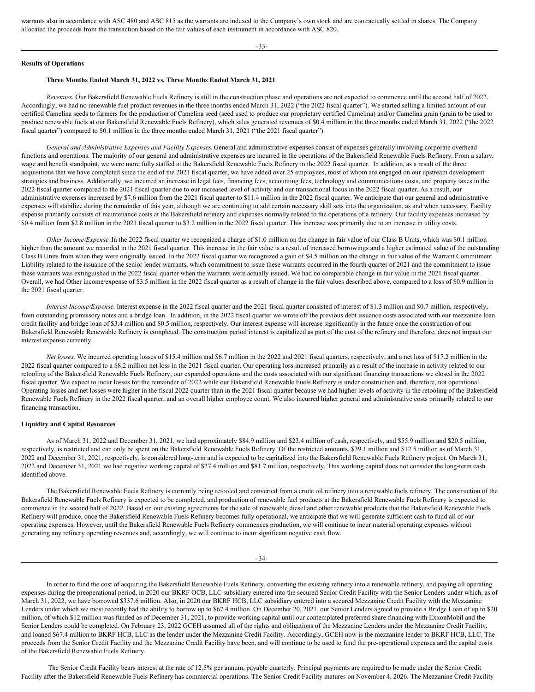warrants also in accordance with ASC 480 and ASC 815 as the warrants are indexed to the Company's own stock and are contractually settled in shares. The Company allocated the proceeds from the transaction based on the fair values of each instrument in accordance with ASC 820.

-33-

# **Results of Operations**

# **Three Months Ended March 31, 2022 vs. Three Months Ended March 31, 2021**

*Revenues.* Our Bakersfield Renewable Fuels Refinery is still in the construction phase and operations are not expected to commence until the second half of 2022. Accordingly, we had no renewable fuel product revenues in the three months ended March 31, 2022 ("the 2022 fiscal quarter"). We started selling a limited amount of our certified Camelina seeds to farmers for the production of Camelina seed (seed used to produce our proprietary certified Camelina) and/or Camelina grain (grain to be used to produce renewable fuels at our Bakersfield Renewable Fuels Refinery), which sales generated revenues of \$0.4 million in the three months ended March 31, 2022 ("the 2022 fiscal quarter") compared to \$0.1 million in the three months ended March 31, 2021 ("the 2021 fiscal quarter").

*General and Administrative Expenses and Facility Expenses*. General and administrative expenses consist of expenses generally involving corporate overhead functions and operations. The majority of our general and administrative expenses are incurred in the operations of the Bakersfield Renewable Fuels Refinery. From a salary, wage and benefit standpoint, we were more fully staffed at the Bakersfield Renewable Fuels Refinery in the 2022 fiscal quarter. In addition, as a result of the three acquisitions that we have completed since the end of the 2021 fiscal quarter, we have added over 25 employees, most of whom are engaged on our upstream development strategies and business. Additionally, we incurred an increase in legal fees, financing fees, accounting fees, technology and communications costs, and property taxes in the 2022 fiscal quarter compared to the 2021 fiscal quarter due to our increased level of activity and our transactional focus in the 2022 fiscal quarter. As a result, our administrative expenses increased by \$7.6 million from the 2021 fiscal quarter to \$11.4 million in the 2022 fiscal quarter. We anticipate that our general and administrative expenses will stabilize during the remainder of this year, although we are continuing to add certain necessary skill sets into the organization, as and when necessary. Facility expense primarily consists of maintenance costs at the Bakersfield refinery and expenses normally related to the operations of a refinery. Our facility expenses increased by \$0.4 million from \$2.8 million in the 2021 fiscal quarter to \$3.2 million in the 2022 fiscal quarter. This increase was primarily due to an increase in utility costs.

*Other Income/Expense.*In the 2022 fiscal quarter we recognized a charge of \$1.0 million on the change in fair value of our Class B Units, which was \$0.1 million higher than the amount we recorded in the 2021 fiscal quarter. This increase in the fair value is a result of increased borrowings and a higher estimated value of the outstanding Class B Units from when they were originally issued. In the 2022 fiscal quarter we recognized a gain of \$4.5 million on the change in fair value of the Warrant Commitment Liability related to the issuance of the senior lender warrants, which commitment to issue these warrants occurred in the fourth quarter of 2021 and the commitment to issue these warrants was extinguished in the 2022 fiscal quarter when the warrants were actually issued. We had no comparable change in fair value in the 2021 fiscal quarter. Overall, we had Other income/expense of \$3.5 million in the 2022 fiscal quarter as a result of change in the fair values described above, compared to a loss of \$0.9 million in the 2021 fiscal quarter.

*Interest Income/Expense.* Interest expense in the 2022 fiscal quarter and the 2021 fiscal quarter consisted of interest of \$1.3 million and \$0.7 million, respectively, from outstanding promissory notes and a bridge loan. In addition, in the 2022 fiscal quarter we wrote off the previous debt issuance costs associated with our mezzanine loan credit facility and bridge loan of \$3.4 million and \$0.5 million, respectively. Our interest expense will increase significantly in the future once the construction of our Bakersfield Renewable Renewable Refinery is completed. The construction period interest is capitalized as part of the cost of the refinery and therefore, does not impact our interest expense currently.

*Net losses.* We incurred operating losses of \$15.4 million and \$6.7 million in the 2022 and 2021 fiscal quarters, respectively, and a net loss of \$17.2 million in the 2022 fiscal quarter compared to a \$8.2 million net loss in the 2021 fiscal quarter. Our operating loss increased primarily as a result of the increase in activity related to our retooling of the Bakersfield Renewable Fuels Refinery, our expanded operations and the costs associated with our significant financing transactions we closed in the 2022 fiscal quarter. We expect to incur losses for the remainder of 2022 while our Bakersfield Renewable Fuels Refinery is under construction and, therefore, not operational. Operating losses and net losses were higher in the fiscal 2022 quarter than in the 2021 fiscal quarter because we had higher levels of activity in the retooling of the Bakersfield Renewable Fuels Refinery in the 2022 fiscal quarter, and an overall higher employee count. We also incurred higher general and administrative costs primarily related to our financing transaction.

# **Liquidity and Capital Resources**

As of March 31, 2022 and December 31, 2021, we had approximately \$84.9 million and \$23.4 million of cash, respectively, and \$55.9 million and \$20.5 million, respectively, is restricted and can only be spent on the Bakersfield Renewable Fuels Refinery. Of the restricted amounts, \$39.1 million and \$12.5 million as of March 31, 2022 and December 31, 2021, respectively, is considered long-term and is expected to be capitalized into the Bakersfield Renewable Fuels Refinery project. On March 31, 2022 and December 31, 2021 we had negative working capital of \$27.4 million and \$81.7 million, respectively. This working capital does not consider the long-term cash identified above.

The Bakersfield Renewable Fuels Refinery is currently being retooled and converted from a crude oil refinery into a renewable fuels refinery. The construction of the Bakersfield Renewable Fuels Refinery is expected to be completed, and production of renewable fuel products at the Bakersfield Renewable Fuels Refinery is expected to commence in the second half of 2022. Based on our existing agreements for the sale of renewable diesel and other renewable products that the Bakersfield Renewable Fuels Refinery will produce, once the Bakersfield Renewable Fuels Refinery becomes fully operational, we anticipate that we will generate sufficient cash to fund all of our operating expenses. However, until the Bakersfield Renewable Fuels Refinery commences production, we will continue to incur material operating expenses without generating any refinery operating revenues and, accordingly, we will continue to incur significant negative cash flow.

In order to fund the cost of acquiring the Bakersfield Renewable Fuels Refinery, converting the existing refinery into a renewable refinery, and paying all operating expenses during the preoperational period, in 2020 our BKRF OCB, LLC subsidiary entered into the secured Senior Credit Facility with the Senior Lenders under which, as of March 31, 2022, we have borrowed \$337.6 million. Also, in 2020 our BKRF HCB, LLC subsidiary entered into a secured Mezzanine Credit Facility with the Mezzanine Lenders under which we most recently had the ability to borrow up to \$67.4 million. On December 20, 2021, our Senior Lenders agreed to provide a Bridge Loan of up to \$20 million, of which \$12 million was funded as of December 31, 2021, to provide working capital until our contemplated preferred share financing with ExxonMobil and the Senior Lenders could be completed. On February 23, 2022 GCEH assumed all of the rights and obligations of the Mezzanine Lenders under the Mezzanine Credit Facility, and loaned \$67.4 million to BKRF HCB, LLC as the lender under the Mezzanine Credit Facility. Accordingly, GCEH now is the mezzanine lender to BKRF HCB, LLC. The proceeds from the Senior Credit Facility and the Mezzanine Credit Facility have been, and will continue to be used to fund the pre-operational expenses and the capital costs of the Bakersfield Renewable Fuels Refinery.

The Senior Credit Facility bears interest at the rate of 12.5% per annum, payable quarterly. Principal payments are required to be made under the Senior Credit Facility after the Bakersfield Renewable Fuels Refinery has commercial operations. The Senior Credit Facility matures on November 4, 2026. The Mezzanine Credit Facility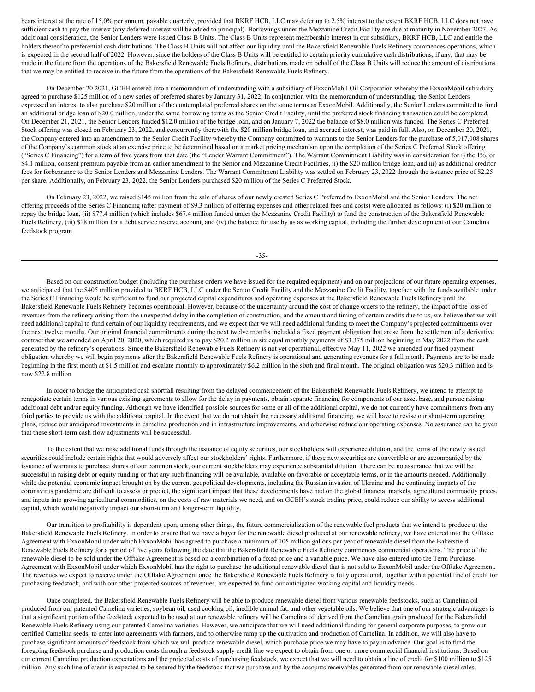bears interest at the rate of 15.0% per annum, payable quarterly, provided that BKRF HCB, LLC may defer up to 2.5% interest to the extent BKRF HCB, LLC does not have sufficient cash to pay the interest (any deferred interest will be added to principal). Borrowings under the Mezzanine Credit Facility are due at maturity in November 2027. As additional consideration, the Senior Lenders were issued Class B Units. The Class B Units represent membership interest in our subsidiary, BKRF HCB, LLC and entitle the holders thereof to preferential cash distributions. The Class B Units will not affect our liquidity until the Bakersfield Renewable Fuels Refinery commences operations, which is expected in the second half of 2022. However, since the holders of the Class B Units will be entitled to certain priority cumulative cash distributions, if any, that may be made in the future from the operations of the Bakersfield Renewable Fuels Refinery, distributions made on behalf of the Class B Units will reduce the amount of distributions that we may be entitled to receive in the future from the operations of the Bakersfield Renewable Fuels Refinery.

On December 20 2021, GCEH entered into a memorandum of understanding with a subsidiary of ExxonMobil Oil Corporation whereby the ExxonMobil subsidiary agreed to purchase \$125 million of a new series of preferred shares by January 31, 2022. In conjunction with the memorandum of understanding, the Senior Lenders expressed an interest to also purchase \$20 million of the contemplated preferred shares on the same terms as ExxonMobil. Additionally, the Senior Lenders committed to fund an additional bridge loan of \$20.0 million, under the same borrowing terms as the Senior Credit Facility, until the preferred stock financing transaction could be completed. On December 21, 2021, the Senior Lenders funded \$12.0 million of the bridge loan, and on January 7, 2022 the balance of \$8.0 million was funded. The Series C Preferred Stock offering was closed on February 23, 2022, and concurrently therewith the \$20 million bridge loan, and accrued interest, was paid in full. Also, on December 20, 2021, the Company entered into an amendment to the Senior Credit Facility whereby the Company committed to warrants to the Senior Lenders for the purchase of 5,017,008 shares of the Company's common stock at an exercise price to be determined based on a market pricing mechanism upon the completion of the Series C Preferred Stock offering ("Series C Financing") for a term of five years from that date (the "Lender Warrant Commitment"). The Warrant Commitment Liability was in consideration for i) the 1%, or \$4.1 million, consent premium payable from an earlier amendment to the Senior and Mezzanine Credit Facilities, ii) the \$20 million bridge loan, and iii) as additional creditor fees for forbearance to the Senior Lenders and Mezzanine Lenders. The Warrant Commitment Liability was settled on February 23, 2022 through the issuance price of \$2.25 per share. Additionally, on February 23, 2022, the Senior Lenders purchased \$20 million of the Series C Preferred Stock.

On February 23, 2022, we raised \$145 million from the sale of shares of our newly created Series C Preferred to ExxonMobil and the Senior Lenders. The net offering proceeds of the Series C Financing (after payment of \$9.3 million of offering expenses and other related fees and costs) were allocated as follows: (i) \$20 million to repay the bridge loan, (ii) \$77.4 million (which includes \$67.4 million funded under the Mezzanine Credit Facility) to fund the construction of the Bakersfield Renewable Fuels Refinery, (iii) \$18 million for a debt service reserve account, and (iv) the balance for use by us as working capital, including the further development of our Camelina feedstock program.

-35-

Based on our construction budget (including the purchase orders we have issued for the required equipment) and on our projections of our future operating expenses, we anticipated that the \$405 million provided to BKRF HCB, LLC under the Senior Credit Facility and the Mezzanine Credit Facility, together with the funds available under the Series C Financing would be sufficient to fund our projected capital expenditures and operating expenses at the Bakersfield Renewable Fuels Refinery until the Bakersfield Renewable Fuels Refinery becomes operational. However, because of the uncertainty around the cost of change orders to the refinery, the impact of the loss of revenues from the refinery arising from the unexpected delay in the completion of construction, and the amount and timing of certain credits due to us, we believe that we will need additional capital to fund certain of our liquidity requirements, and we expect that we will need additional funding to meet the Company's projected commitments over the next twelve months. Our original financial commitments during the next twelve months included a fixed payment obligation that arose from the settlement of a derivative contract that we amended on April 20, 2020, which required us to pay \$20.2 million in six equal monthly payments of \$3.375 million beginning in May 2022 from the cash generated by the refinery's operations. Since the Bakersfield Renewable Fuels Refinery is not yet operational, effective May 11, 2022 we amended our fixed payment obligation whereby we will begin payments after the Bakersfield Renewable Fuels Refinery is operational and generating revenues for a full month. Payments are to be made beginning in the first month at \$1.5 million and escalate monthly to approximately \$6.2 million in the sixth and final month. The original obligation was \$20.3 million and is now \$22.8 million.

In order to bridge the anticipated cash shortfall resulting from the delayed commencement of the Bakersfield Renewable Fuels Refinery, we intend to attempt to renegotiate certain terms in various existing agreements to allow for the delay in payments, obtain separate financing for components of our asset base, and pursue raising additional debt and/or equity funding. Although we have identified possible sources for some or all of the additional capital, we do not currently have commitments from any third parties to provide us with the additional capital. In the event that we do not obtain the necessary additional financing, we will have to revise our short-term operating plans, reduce our anticipated investments in camelina production and in infrastructure improvements, and otherwise reduce our operating expenses. No assurance can be given that these short-term cash flow adjustments will be successful.

To the extent that we raise additional funds through the issuance of equity securities, our stockholders will experience dilution, and the terms of the newly issued securities could include certain rights that would adversely affect our stockholders' rights. Furthermore, if these new securities are convertible or are accompanied by the issuance of warrants to purchase shares of our common stock, our current stockholders may experience substantial dilution. There can be no assurance that we will be successful in raising debt or equity funding or that any such financing will be available, available on favorable or acceptable terms, or in the amounts needed. Additionally, while the potential economic impact brought on by the current geopolitical developments, including the Russian invasion of Ukraine and the continuing impacts of the coronavirus pandemic are difficult to assess or predict, the significant impact that these developments have had on the global financial markets, agricultural commodity prices, and inputs into growing agricultural commodities, on the costs of raw materials we need, and on GCEH's stock trading price, could reduce our ability to access additional capital, which would negatively impact our short-term and longer-term liquidity.

Our transition to profitability is dependent upon, among other things, the future commercialization of the renewable fuel products that we intend to produce at the Bakersfield Renewable Fuels Refinery. In order to ensure that we have a buyer for the renewable diesel produced at our renewable refinery, we have entered into the Offtake Agreement with ExxonMobil under which ExxonMobil has agreed to purchase a minimum of 105 million gallons per year of renewable diesel from the Bakersfield Renewable Fuels Refinery for a period of five years following the date that the Bakersfield Renewable Fuels Refinery commences commercial operations. The price of the renewable diesel to be sold under the Offtake Agreement is based on a combination of a fixed price and a variable price. We have also entered into the Term Purchase Agreement with ExxonMobil under which ExxonMobil has the right to purchase the additional renewable diesel that is not sold to ExxonMobil under the Offtake Agreement. The revenues we expect to receive under the Offtake Agreement once the Bakersfield Renewable Fuels Refinery is fully operational, together with a potential line of credit for purchasing feedstock, and with our other projected sources of revenues, are expected to fund our anticipated working capital and liquidity needs.

Once completed, the Bakersfield Renewable Fuels Refinery will be able to produce renewable diesel from various renewable feedstocks, such as Camelina oil produced from our patented Camelina varieties, soybean oil, used cooking oil, inedible animal fat, and other vegetable oils. We believe that one of our strategic advantages is that a significant portion of the feedstock expected to be used at our renewable refinery will be Camelina oil derived from the Camelina grain produced for the Bakersfield Renewable Fuels Refinery using our patented Camelina varieties. However, we anticipate that we will need additional funding for general corporate purposes, to grow our certified Camelina seeds, to enter into agreements with farmers, and to otherwise ramp up the cultivation and production of Camelina. In addition, we will also have to purchase significant amounts of feedstock from which we will produce renewable diesel, which purchase price we may have to pay in advance. Our goal is to fund the foregoing feedstock purchase and production costs through a feedstock supply credit line we expect to obtain from one or more commercial financial institutions. Based on our current Camelina production expectations and the projected costs of purchasing feedstock, we expect that we will need to obtain a line of credit for \$100 million to \$125 million. Any such line of credit is expected to be secured by the feedstock that we purchase and by the accounts receivables generated from our renewable diesel sales.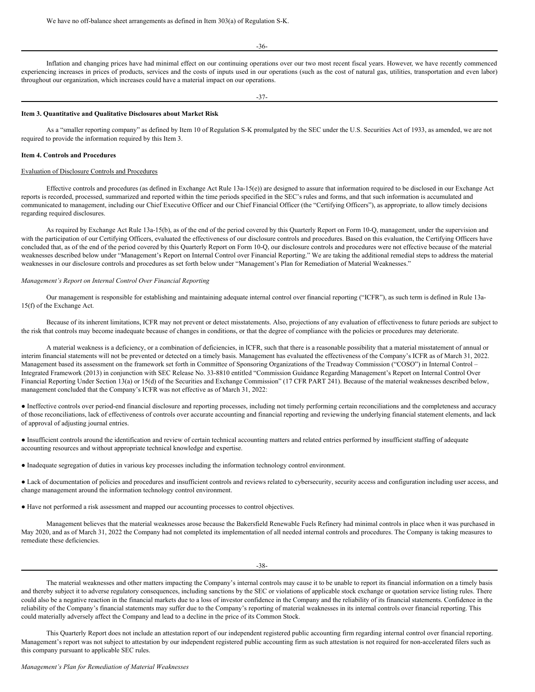-36-

Inflation and changing prices have had minimal effect on our continuing operations over our two most recent fiscal years. However, we have recently commenced experiencing increases in prices of products, services and the costs of inputs used in our operations (such as the cost of natural gas, utilities, transportation and even labor) throughout our organization, which increases could have a material impact on our operations.

#### -37-

#### <span id="page-22-0"></span>**Item 3. Quantitative and Qualitative Disclosures about Market Risk**

As a "smaller reporting company" as defined by Item 10 of Regulation S-K promulgated by the SEC under the U.S. Securities Act of 1933, as amended, we are not required to provide the information required by this Item 3.

#### <span id="page-22-1"></span>**Item 4. Controls and Procedures**

## Evaluation of Disclosure Controls and Procedures

Effective controls and procedures (as defined in Exchange Act Rule 13a-15(e)) are designed to assure that information required to be disclosed in our Exchange Act reports is recorded, processed, summarized and reported within the time periods specified in the SEC's rules and forms, and that such information is accumulated and communicated to management, including our Chief Executive Officer and our Chief Financial Officer (the "Certifying Officers"), as appropriate, to allow timely decisions regarding required disclosures.

As required by Exchange Act Rule 13a-15(b), as of the end of the period covered by this Quarterly Report on Form 10-Q, management, under the supervision and with the participation of our Certifying Officers, evaluated the effectiveness of our disclosure controls and procedures. Based on this evaluation, the Certifying Officers have concluded that, as of the end of the period covered by this Quarterly Report on Form 10-Q, our disclosure controls and procedures were not effective because of the material weaknesses described below under "Management's Report on Internal Control over Financial Reporting." We are taking the additional remedial steps to address the material weaknesses in our disclosure controls and procedures as set forth below under "Management's Plan for Remediation of Material Weaknesses."

#### *Management's Report on Internal Control Over Financial Reporting*

Our management is responsible for establishing and maintaining adequate internal control over financial reporting ("ICFR"), as such term is defined in Rule 13a-15(f) of the Exchange Act.

Because of its inherent limitations, ICFR may not prevent or detect misstatements. Also, projections of any evaluation of effectiveness to future periods are subject to the risk that controls may become inadequate because of changes in conditions, or that the degree of compliance with the policies or procedures may deteriorate.

A material weakness is a deficiency, or a combination of deficiencies, in ICFR, such that there is a reasonable possibility that a material misstatement of annual or interim financial statements will not be prevented or detected on a timely basis. Management has evaluated the effectiveness of the Company's ICFR as of March 31, 2022. Management based its assessment on the framework set forth in Committee of Sponsoring Organizations of the Treadway Commission ("COSO") in Internal Control – Integrated Framework (2013) in conjunction with SEC Release No. 33-8810 entitled "Commission Guidance Regarding Management's Report on Internal Control Over Financial Reporting Under Section 13(a) or 15(d) of the Securities and Exchange Commission" (17 CFR PART 241). Because of the material weaknesses described below, management concluded that the Company's ICFR was not effective as of March 31, 2022:

● Ineffective controls over period-end financial disclosure and reporting processes, including not timely performing certain reconciliations and the completeness and accuracy of those reconciliations, lack of effectiveness of controls over accurate accounting and financial reporting and reviewing the underlying financial statement elements, and lack of approval of adjusting journal entries.

● Insufficient controls around the identification and review of certain technical accounting matters and related entries performed by insufficient staffing of adequate accounting resources and without appropriate technical knowledge and expertise.

● Inadequate segregation of duties in various key processes including the information technology control environment.

● Lack of documentation of policies and procedures and insufficient controls and reviews related to cybersecurity, security access and configuration including user access, and change management around the information technology control environment.

● Have not performed a risk assessment and mapped our accounting processes to control objectives.

Management believes that the material weaknesses arose because the Bakersfield Renewable Fuels Refinery had minimal controls in place when it was purchased in May 2020, and as of March 31, 2022 the Company had not completed its implementation of all needed internal controls and procedures. The Company is taking measures to remediate these deficiencies.

The material weaknesses and other matters impacting the Company's internal controls may cause it to be unable to report its financial information on a timely basis and thereby subject it to adverse regulatory consequences, including sanctions by the SEC or violations of applicable stock exchange or quotation service listing rules. There could also be a negative reaction in the financial markets due to a loss of investor confidence in the Company and the reliability of its financial statements. Confidence in the reliability of the Company's financial statements may suffer due to the Company's reporting of material weaknesses in its internal controls over financial reporting. This could materially adversely affect the Company and lead to a decline in the price of its Common Stock.

This Quarterly Report does not include an attestation report of our independent registered public accounting firm regarding internal control over financial reporting. Management's report was not subject to attestation by our independent registered public accounting firm as such attestation is not required for non-accelerated filers such as this company pursuant to applicable SEC rules.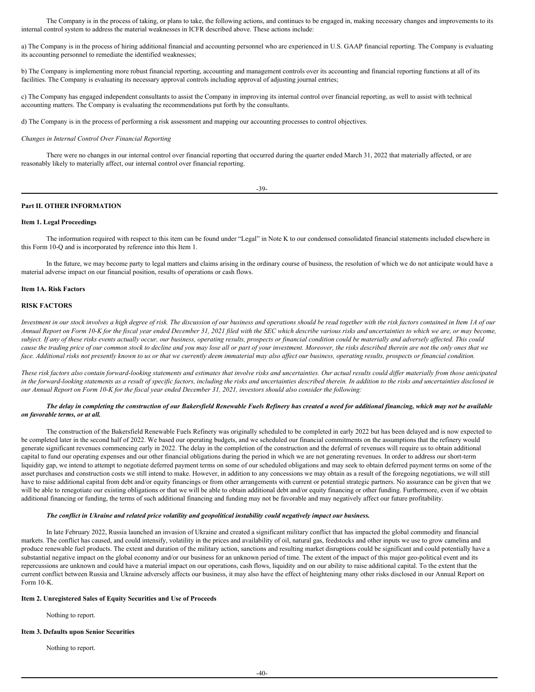The Company is in the process of taking, or plans to take, the following actions, and continues to be engaged in, making necessary changes and improvements to its internal control system to address the material weaknesses in ICFR described above. These actions include:

a) The Company is in the process of hiring additional financial and accounting personnel who are experienced in U.S. GAAP financial reporting. The Company is evaluating its accounting personnel to remediate the identified weaknesses;

b) The Company is implementing more robust financial reporting, accounting and management controls over its accounting and financial reporting functions at all of its facilities. The Company is evaluating its necessary approval controls including approval of adjusting journal entries;

c) The Company has engaged independent consultants to assist the Company in improving its internal control over financial reporting, as well to assist with technical accounting matters. The Company is evaluating the recommendations put forth by the consultants.

d) The Company is in the process of performing a risk assessment and mapping our accounting processes to control objectives.

#### *Changes in Internal Control Over Financial Reporting*

There were no changes in our internal control over financial reporting that occurred during the quarter ended March 31, 2022 that materially affected, or are reasonably likely to materially affect, our internal control over financial reporting.

-39-

# <span id="page-23-0"></span>**Part II. OTHER INFORMATION**

#### <span id="page-23-1"></span>**Item 1. Legal Proceedings**

The information required with respect to this item can be found under "Legal" in Note K to our condensed consolidated financial statements included elsewhere in this Form 10-Q and is incorporated by reference into this Item 1.

In the future, we may become party to legal matters and claims arising in the ordinary course of business, the resolution of which we do not anticipate would have a material adverse impact on our financial position, results of operations or cash flows.

# <span id="page-23-2"></span>**Item 1A. Risk Factors**

#### **RISK FACTORS**

Investment in our stock involves a high degree of risk. The discussion of our business and operations should be read together with the risk factors contained in Item 1A of our Annual Report on Form 10-K for the fiscal year ended December 31, 2021 filed with the SEC which describe various risks and uncertainties to which we are, or may become, subject. If any of these risks events actually occur, our business, operating results, prospects or financial condition could be materially and adversely affected. This could cause the trading price of our common stock to decline and you may lose all or part of your investment. Moreover, the risks described therein are not the only ones that we face. Additional risks not presently known to us or that we currently deem immaterial may also affect our business, operating results, prospects or financial condition.

These risk factors also contain forward-looking statements and estimates that involve risks and uncertainties. Our actual results could differ materially from those anticipated in the forward-looking statements as a result of specific factors, including the risks and uncertainties described therein. In addition to the risks and uncertainties disclosed in our Annual Report on Form 10-K for the fiscal year ended December 31, 2021, investors should also consider the following:

#### The delay in completing the construction of our Bakersfield Renewable Fuels Refinery has created a need for additional financing, which may not be available *on favorable terms, or at all.*

The construction of the Bakersfield Renewable Fuels Refinery was originally scheduled to be completed in early 2022 but has been delayed and is now expected to be completed later in the second half of 2022. We based our operating budgets, and we scheduled our financial commitments on the assumptions that the refinery would generate significant revenues commencing early in 2022. The delay in the completion of the construction and the deferral of revenues will require us to obtain additional capital to fund our operating expenses and our other financial obligations during the period in which we are not generating revenues. In order to address our short-term liquidity gap, we intend to attempt to negotiate deferred payment terms on some of our scheduled obligations and may seek to obtain deferred payment terms on some of the asset purchases and construction costs we still intend to make. However, in addition to any concessions we may obtain as a result of the foregoing negotiations, we will still have to raise additional capital from debt and/or equity financings or from other arrangements with current or potential strategic partners. No assurance can be given that we will be able to renegotiate our existing obligations or that we will be able to obtain additional debt and/or equity financing or other funding. Furthermore, even if we obtain additional financing or funding, the terms of such additional financing and funding may not be favorable and may negatively affect our future profitability.

#### The conflict in Ukraine and related price volatility and geopolitical instability could negatively impact our business.

In late February 2022, Russia launched an invasion of Ukraine and created a significant military conflict that has impacted the global commodity and financial markets. The conflict has caused, and could intensify, volatility in the prices and availability of oil, natural gas, feedstocks and other inputs we use to grow camelina and produce renewable fuel products. The extent and duration of the military action, sanctions and resulting market disruptions could be significant and could potentially have a substantial negative impact on the global economy and/or our business for an unknown period of time. The extent of the impact of this major geo-political event and its repercussions are unknown and could have a material impact on our operations, cash flows, liquidity and on our ability to raise additional capital. To the extent that the current conflict between Russia and Ukraine adversely affects our business, it may also have the effect of heightening many other risks disclosed in our Annual Report on Form 10-K.

#### <span id="page-23-3"></span>**Item 2. Unregistered Sales of Equity Securities and Use of Proceeds**

Nothing to report.

#### <span id="page-23-4"></span>**Item 3. Defaults upon Senior Securities**

Nothing to report.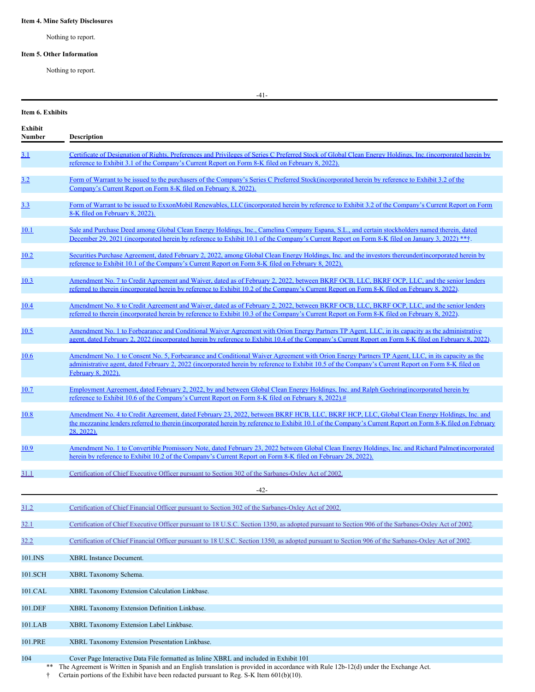# <span id="page-24-0"></span>**Item 4. Mine Safety Disclosures**

Nothing to report.

# <span id="page-24-1"></span>**Item 5. Other Information**

Nothing to report.

# -41-

# <span id="page-24-2"></span>**Item 6. Exhibits**

| Exhibit<br>Number | <b>Description</b>                                                                                                                                                                                                                                                                                                           |
|-------------------|------------------------------------------------------------------------------------------------------------------------------------------------------------------------------------------------------------------------------------------------------------------------------------------------------------------------------|
| 3.1               | Certificate of Designation of Rights, Preferences and Privileges of Series C Preferred Stock of Global Clean Energy Holdings, Inc. (incorporated herein by<br>reference to Exhibit 3.1 of the Company's Current Report on Form 8-K filed on February 8, 2022).                                                               |
| <u>3.2</u>        | Form of Warrant to be issued to the purchasers of the Company's Series C Preferred Stock(incorporated herein by reference to Exhibit 3.2 of the<br>Company's Current Report on Form 8-K filed on February 8, 2022).                                                                                                          |
| <u>3.3</u>        | Form of Warrant to be issued to ExxonMobil Renewables, LLC (incorporated herein by reference to Exhibit 3.2 of the Company's Current Report on Form<br>8-K filed on February 8, 2022).                                                                                                                                       |
| <u>10.1</u>       | Sale and Purchase Deed among Global Clean Energy Holdings, Inc., Camelina Company Espana, S.L., and certain stockholders named therein, dated<br>December 29, 2021 (incorporated herein by reference to Exhibit 10.1 of the Company's Current Report on Form 8-K filed on January 3, 2022) **+.                              |
| 10.2              | Securities Purchase Agreement, dated February 2, 2022, among Global Clean Energy Holdings, Inc. and the investors thereunder (incorporated herein by<br>reference to Exhibit 10.1 of the Company's Current Report on Form 8-K filed on February 8, 2022).                                                                    |
| <u>10.3</u>       | Amendment No. 7 to Credit Agreement and Waiver, dated as of February 2, 2022, between BKRF OCB, LLC, BKRF OCP, LLC, and the senior lenders<br>referred to therein (incorporated herein by reference to Exhibit 10.2 of the Company's Current Report on Form 8-K filed on February 8, 2022).                                  |
| <u>10.4</u>       | Amendment No. 8 to Credit Agreement and Waiver, dated as of February 2, 2022, between BKRF OCB, LLC, BKRF OCP, LLC, and the senior lenders<br>referred to therein (incorporated herein by reference to Exhibit 10.3 of the Company's Current Report on Form 8-K filed on February 8, 2022).                                  |
| 10.5              | Amendment No. 1 to Forbearance and Conditional Waiver Agreement with Orion Energy Partners TP Agent, LLC, in its capacity as the administrative<br>agent, dated February 2, 2022 (incorporated herein by reference to Exhibit 10.4 of the Company's Current Report on Form 8-K filed on February 8, 2022).                   |
| 10.6              | Amendment No. 1 to Consent No. 5. Forbearance and Conditional Waiver Agreement with Orion Energy Partners TP Agent, LLC, in its capacity as the<br>administrative agent, dated February 2, 2022 (incorporated herein by reference to Exhibit 10.5 of the Company's Current Report on Form 8-K filed on<br>February 8, 2022). |
| <u>10.7</u>       | Employment Agreement, dated February 2, 2022, by and between Global Clean Energy Holdings, Inc. and Ralph Goehring(incorporated herein by<br>reference to Exhibit 10.6 of the Company's Current Report on Form 8-K filed on February 8, 2022).#                                                                              |
| 10.8              | Amendment No. 4 to Credit Agreement, dated February 23, 2022, between BKRF HCB, LLC, BKRF HCP, LLC, Global Clean Energy Holdings, Inc. and<br>the mezzanine lenders referred to therein (incorporated herein by reference to Exhibit 10.1 of the Company's Current Report on Form 8-K filed on February<br>28, 2022).        |
| 10.9              | Amendment No. 1 to Convertible Promissory Note, dated February 23, 2022 between Global Clean Energy Holdings, Inc. and Richard Palmen incorporated<br>herein by reference to Exhibit 10.2 of the Company's Current Report on Form 8-K filed on February 28, 2022).                                                           |
| 31.1              | Certification of Chief Executive Officer pursuant to Section 302 of the Sarbanes-Oxley Act of 2002.                                                                                                                                                                                                                          |
| $-42-$            |                                                                                                                                                                                                                                                                                                                              |
| 31.2              | Certification of Chief Financial Officer pursuant to Section 302 of the Sarbanes-Oxley Act of 2002                                                                                                                                                                                                                           |
| 32.1              | Certification of Chief Executive Officer pursuant to 18 U.S.C. Section 1350, as adopted pursuant to Section 906 of the Sarbanes-Oxley Act of 2002.                                                                                                                                                                           |
| 32.2              | Certification of Chief Financial Officer pursuant to 18 U.S.C. Section 1350, as adopted pursuant to Section 906 of the Sarbanes-Oxley Act of 2002.                                                                                                                                                                           |
| 101.INS           | <b>XBRL</b> Instance Document.                                                                                                                                                                                                                                                                                               |
| 101.SCH           | XBRL Taxonomy Schema.                                                                                                                                                                                                                                                                                                        |
| 101.CAL           | XBRL Taxonomy Extension Calculation Linkbase.                                                                                                                                                                                                                                                                                |
| 101.DEF           | XBRL Taxonomy Extension Definition Linkbase.                                                                                                                                                                                                                                                                                 |
| 101.LAB           | XBRL Taxonomy Extension Label Linkbase.                                                                                                                                                                                                                                                                                      |
| 101.PRE           | XBRL Taxonomy Extension Presentation Linkbase.                                                                                                                                                                                                                                                                               |
| 104<br>**         | Cover Page Interactive Data File formatted as Inline XBRL and included in Exhibit 101<br>The Agreement is Written in Spanish and an English translation is provided in accordance with Rule 12b-12(d) under the Exchange Act.                                                                                                |

† Certain portions of the Exhibit have been redacted pursuant to Reg. S-K Item 601(b)(10).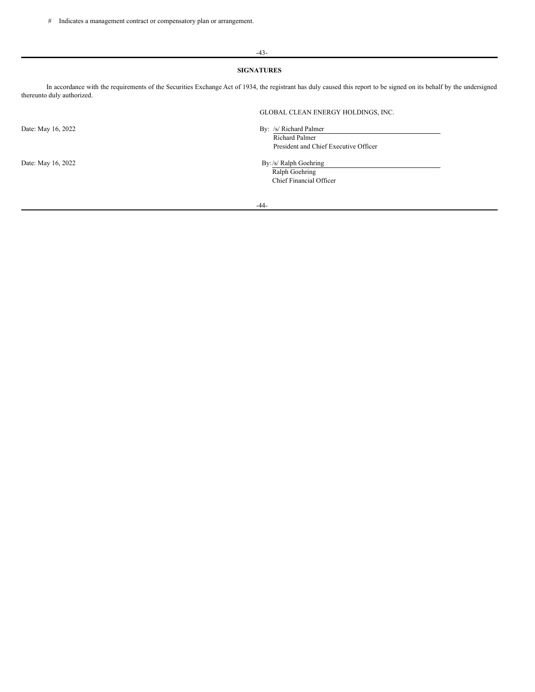#### -43-

# **SIGNATURES**

In accordance with the requirements of the Securities Exchange Act of 1934, the registrant has duly caused this report to be signed on its behalf by the undersigned thereunto duly authorized.

GLOBAL CLEAN ENERGY HOLDINGS, INC.

Date: May 16, 2022 By: /s/ Richard Palmer Richard Palmer President and Chief Executive Officer

Date: May 16, 2022 By:/s/ Ralph Goehring

Ralph Goehring Chief Financial Officer

-44-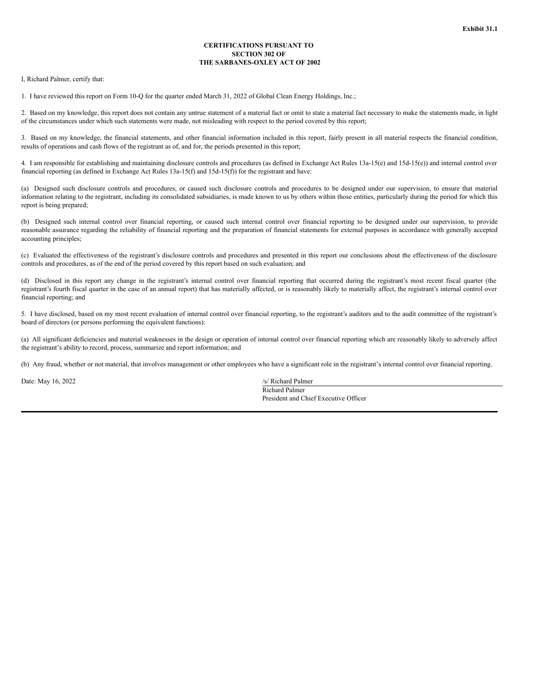#### **CERTIFICATIONS PURSUANT TO SECTION 302 OF THE SARBANES-OXLEY ACT OF 2002**

<span id="page-26-0"></span>I, Richard Palmer, certify that:

1. I have reviewed this report on Form 10-Q for the quarter ended March 31, 2022 of Global Clean Energy Holdings, Inc.;

2. Based on my knowledge, this report does not contain any untrue statement of a material fact or omit to state a material fact necessary to make the statements made, in light of the circumstances under which such statements were made, not misleading with respect to the period covered by this report;

3. Based on my knowledge, the financial statements, and other financial information included in this report, fairly present in all material respects the financial condition, results of operations and cash flows of the registrant as of, and for, the periods presented in this report;

4. I am responsible for establishing and maintaining disclosure controls and procedures (as defined in Exchange Act Rules 13a-15(e) and 15d-15(e)) and internal control over financial reporting (as defined in Exchange Act Rules 13a-15(f) and 15d-15(f)) for the registrant and have:

(a) Designed such disclosure controls and procedures, or caused such disclosure controls and procedures to be designed under our supervision, to ensure that material information relating to the registrant, including its consolidated subsidiaries, is made known to us by others within those entities, particularly during the period for which this report is being prepared;

(b) Designed such internal control over financial reporting, or caused such internal control over financial reporting to be designed under our supervision, to provide reasonable assurance regarding the reliability of financial reporting and the preparation of financial statements for external purposes in accordance with generally accepted accounting principles;

(c) Evaluated the effectiveness of the registrant's disclosure controls and procedures and presented in this report our conclusions about the effectiveness of the disclosure controls and procedures, as of the end of the period covered by this report based on such evaluation; and

(d) Disclosed in this report any change in the registrant's internal control over financial reporting that occurred during the registrant's most recent fiscal quarter (the registrant's fourth fiscal quarter in the case of an annual report) that has materially affected, or is reasonably likely to materially affect, the registrant's internal control over financial reporting; and

5. I have disclosed, based on my most recent evaluation of internal control over financial reporting, to the registrant's auditors and to the audit committee of the registrant's board of directors (or persons performing the equivalent functions):

(a) All significant deficiencies and material weaknesses in the design or operation of internal control over financial reporting which are reasonably likely to adversely affect the registrant's ability to record, process, summarize and report information; and

(b) Any fraud, whether or not material, that involves management or other employees who have a significant role in the registrant's internal control over financial reporting.

Date: May 16, 2022 /s/ Richard Palmer Richard Palmer President and Chief Executive Officer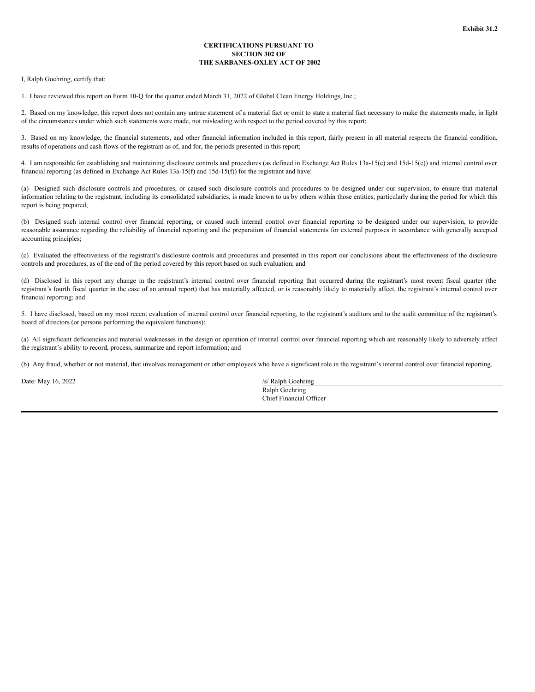## **CERTIFICATIONS PURSUANT TO SECTION 302 OF THE SARBANES-OXLEY ACT OF 2002**

<span id="page-27-0"></span>I, Ralph Goehring, certify that:

1. I have reviewed this report on Form 10-Q for the quarter ended March 31, 2022 of Global Clean Energy Holdings, Inc.;

2. Based on my knowledge, this report does not contain any untrue statement of a material fact or omit to state a material fact necessary to make the statements made, in light of the circumstances under which such statements were made, not misleading with respect to the period covered by this report;

3. Based on my knowledge, the financial statements, and other financial information included in this report, fairly present in all material respects the financial condition, results of operations and cash flows of the registrant as of, and for, the periods presented in this report;

4. I am responsible for establishing and maintaining disclosure controls and procedures (as defined in Exchange Act Rules 13a-15(e) and 15d-15(e)) and internal control over financial reporting (as defined in Exchange Act Rules 13a-15(f) and 15d-15(f)) for the registrant and have:

(a) Designed such disclosure controls and procedures, or caused such disclosure controls and procedures to be designed under our supervision, to ensure that material information relating to the registrant, including its consolidated subsidiaries, is made known to us by others within those entities, particularly during the period for which this report is being prepared;

(b) Designed such internal control over financial reporting, or caused such internal control over financial reporting to be designed under our supervision, to provide reasonable assurance regarding the reliability of financial reporting and the preparation of financial statements for external purposes in accordance with generally accepted accounting principles;

(c) Evaluated the effectiveness of the registrant's disclosure controls and procedures and presented in this report our conclusions about the effectiveness of the disclosure controls and procedures, as of the end of the period covered by this report based on such evaluation; and

(d) Disclosed in this report any change in the registrant's internal control over financial reporting that occurred during the registrant's most recent fiscal quarter (the registrant's fourth fiscal quarter in the case of an annual report) that has materially affected, or is reasonably likely to materially affect, the registrant's internal control over financial reporting; and

5. I have disclosed, based on my most recent evaluation of internal control over financial reporting, to the registrant's auditors and to the audit committee of the registrant's board of directors (or persons performing the equivalent functions):

(a) All significant deficiencies and material weaknesses in the design or operation of internal control over financial reporting which are reasonably likely to adversely affect the registrant's ability to record, process, summarize and report information; and

(b) Any fraud, whether or not material, that involves management or other employees who have a significant role in the registrant's internal control over financial reporting.

Date: May 16, 2022 /s/ Ralph Goehring Ralph Goehring Chief Financial Officer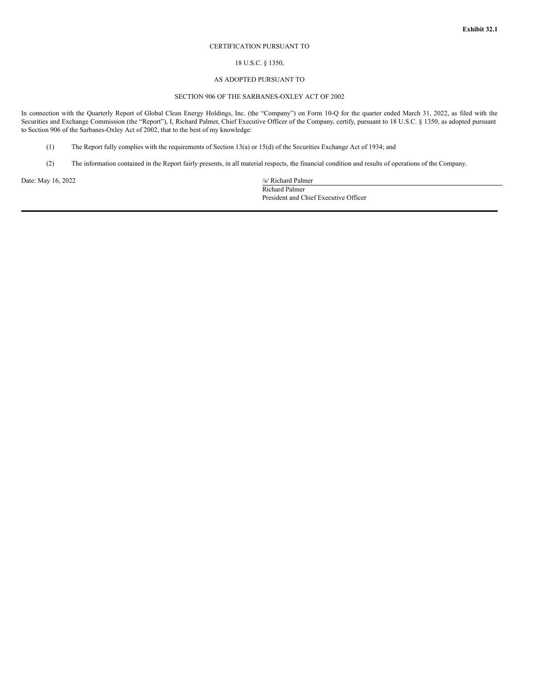#### CERTIFICATION PURSUANT TO

# 18 U.S.C. § 1350,

# AS ADOPTED PURSUANT TO

# SECTION 906 OF THE SARBANES-OXLEY ACT OF 2002

<span id="page-28-0"></span>In connection with the Quarterly Report of Global Clean Energy Holdings, Inc. (the "Company") on Form 10-Q for the quarter ended March 31, 2022, as filed with the Securities and Exchange Commission (the "Report"), I, Richard Palmer, Chief Executive Officer of the Company, certify, pursuant to 18 U.S.C. § 1350, as adopted pursuant to Section 906 of the Sarbanes-Oxley Act of 2002, that to the best of my knowledge:

- (1) The Report fully complies with the requirements of Section 13(a) or 15(d) of the Securities Exchange Act of 1934; and
- (2) The information contained in the Report fairly presents, in all material respects, the financial condition and results of operations of the Company.

Date: May 16, 2022

/s/ Richard Palmer<br>Richard Palmer President and Chief Executive Officer